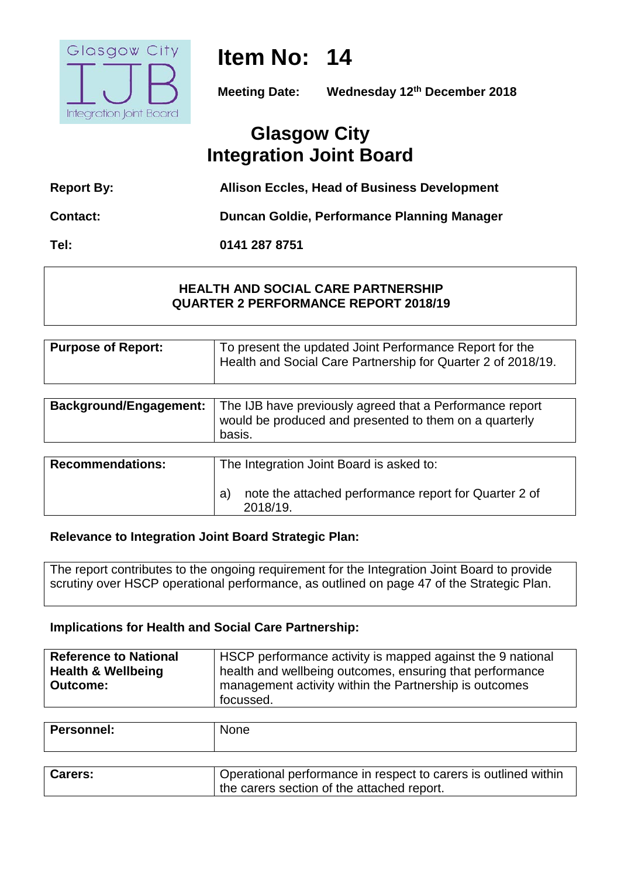

# **Item No: 14**

**Meeting Date: Wednesday 12th December 2018**

## **Glasgow City Integration Joint Board**

| <b>Report By:</b> | <b>Allison Eccles, Head of Business Development</b> |
|-------------------|-----------------------------------------------------|

**Contact: Duncan Goldie, Performance Planning Manager**

**Tel: 0141 287 8751**

#### **HEALTH AND SOCIAL CARE PARTNERSHIP QUARTER 2 PERFORMANCE REPORT 2018/19**

| Purpose of Report: | To present the updated Joint Performance Report for the<br>Health and Social Care Partnership for Quarter 2 of 2018/19. |
|--------------------|-------------------------------------------------------------------------------------------------------------------------|
|                    |                                                                                                                         |

| <b>Background/Engagement:</b> | The IJB have previously agreed that a Performance report<br>would be produced and presented to them on a quarterly<br>basis. |
|-------------------------------|------------------------------------------------------------------------------------------------------------------------------|
| <b>Recommendations:</b>       | The Integration Joint Board is asked to:<br>note the attached performance report for Quarter 2 of<br>a                       |
|                               | 2018/19.                                                                                                                     |

#### **Relevance to Integration Joint Board Strategic Plan:**

The report contributes to the ongoing requirement for the Integration Joint Board to provide scrutiny over HSCP operational performance, as outlined on page 47 of the Strategic Plan.

#### **Implications for Health and Social Care Partnership:**

| <b>Reference to National</b>  | HSCP performance activity is mapped against the 9 national |
|-------------------------------|------------------------------------------------------------|
| <b>Health &amp; Wellbeing</b> | health and wellbeing outcomes, ensuring that performance   |
| <b>Outcome:</b>               | management activity within the Partnership is outcomes     |
|                               | focussed.                                                  |

| Personnel: | None |
|------------|------|
|            |      |
|            |      |

| <b>Carers:</b> | Operational performance in respect to carers is outlined within |
|----------------|-----------------------------------------------------------------|
|                | the carers section of the attached report.                      |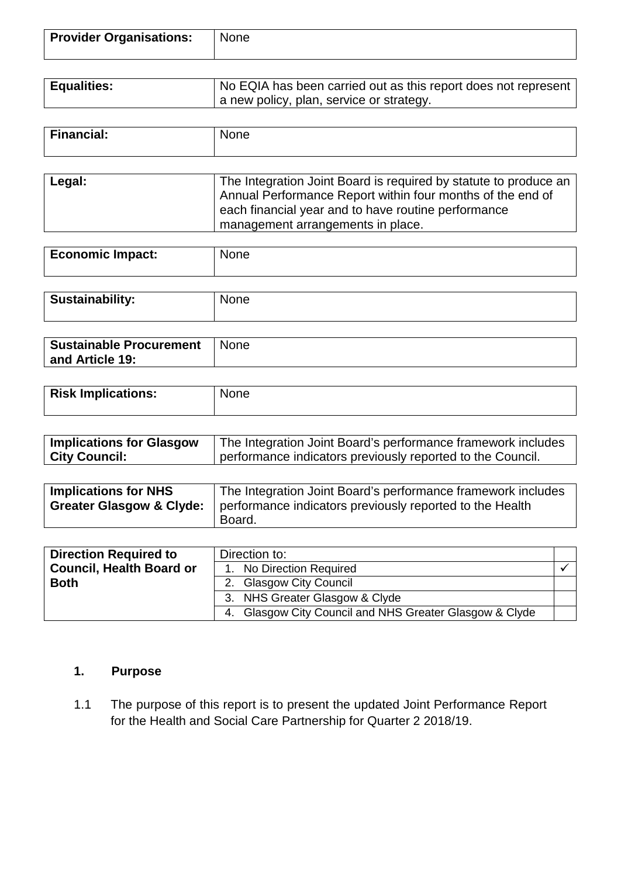| <b>Provider Organisations:</b> | <b>None</b> |
|--------------------------------|-------------|
|                                |             |

| <b>Equalities:</b> | No EQIA has been carried out as this report does not represent |
|--------------------|----------------------------------------------------------------|
|                    | a new policy, plan, service or strategy.                       |

| <b>Financial:</b> | $\sim$ 10 $\sim$<br>'vone' |
|-------------------|----------------------------|
|                   |                            |

| Legal: | The Integration Joint Board is required by statute to produce an<br>Annual Performance Report within four months of the end of |
|--------|--------------------------------------------------------------------------------------------------------------------------------|
|        | each financial year and to have routine performance<br>management arrangements in place.                                       |

| <b>Economic Impact:</b> | None |
|-------------------------|------|
|                         |      |

| <b>Sustainability:</b> | None |
|------------------------|------|
|                        |      |

| <b>Sustainable Procurement</b> | <b>None</b> |
|--------------------------------|-------------|
| and Article 19:                |             |

| <b>Risk Implications:</b> | <b>None</b> |
|---------------------------|-------------|
|                           |             |

| <b>Implications for Glasgow</b> | The Integration Joint Board's performance framework includes |
|---------------------------------|--------------------------------------------------------------|
| <b>City Council:</b>            | performance indicators previously reported to the Council.   |

| <b>Implications for NHS</b>         | The Integration Joint Board's performance framework includes |
|-------------------------------------|--------------------------------------------------------------|
| <b>Greater Glasgow &amp; Clyde:</b> | performance indicators previously reported to the Health     |
|                                     | Board.                                                       |

| <b>Direction Required to</b>    | Direction to:                                           |  |  |  |  |  |
|---------------------------------|---------------------------------------------------------|--|--|--|--|--|
| <b>Council, Health Board or</b> | 1. No Direction Required                                |  |  |  |  |  |
| <b>Both</b>                     | 2. Glasgow City Council                                 |  |  |  |  |  |
|                                 | 3. NHS Greater Glasgow & Clyde                          |  |  |  |  |  |
|                                 | 4. Glasgow City Council and NHS Greater Glasgow & Clyde |  |  |  |  |  |

### **1. Purpose**

1.1 The purpose of this report is to present the updated Joint Performance Report for the Health and Social Care Partnership for Quarter 2 2018/19.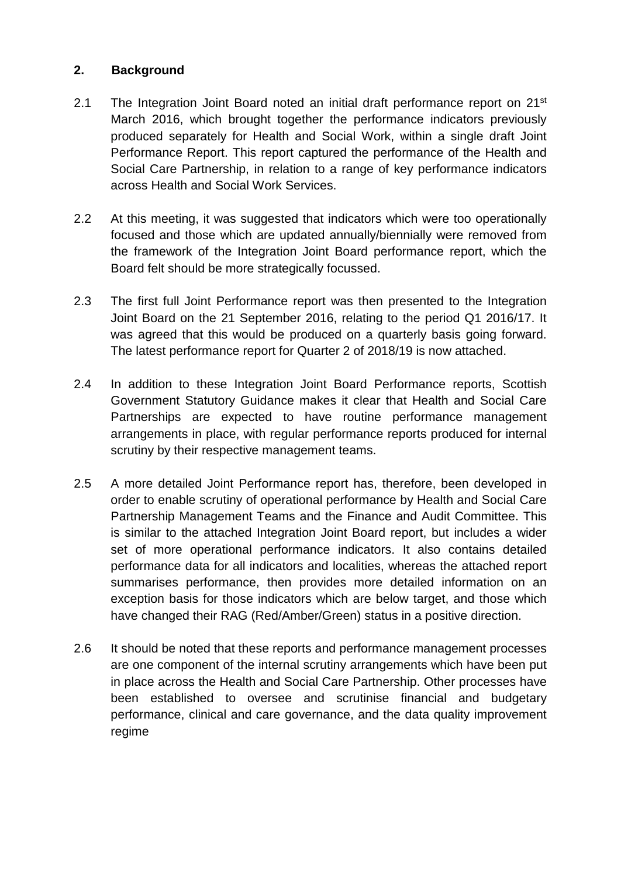#### **2. Background**

- 2.1 The Integration Joint Board noted an initial draft performance report on 21<sup>st</sup> March 2016, which brought together the performance indicators previously produced separately for Health and Social Work, within a single draft Joint Performance Report. This report captured the performance of the Health and Social Care Partnership, in relation to a range of key performance indicators across Health and Social Work Services.
- 2.2 At this meeting, it was suggested that indicators which were too operationally focused and those which are updated annually/biennially were removed from the framework of the Integration Joint Board performance report, which the Board felt should be more strategically focussed.
- 2.3 The first full Joint Performance report was then presented to the Integration Joint Board on the 21 September 2016, relating to the period Q1 2016/17. It was agreed that this would be produced on a quarterly basis going forward. The latest performance report for Quarter 2 of 2018/19 is now attached.
- 2.4 In addition to these Integration Joint Board Performance reports, Scottish Government Statutory Guidance makes it clear that Health and Social Care Partnerships are expected to have routine performance management arrangements in place, with regular performance reports produced for internal scrutiny by their respective management teams.
- 2.5 A more detailed Joint Performance report has, therefore, been developed in order to enable scrutiny of operational performance by Health and Social Care Partnership Management Teams and the Finance and Audit Committee. This is similar to the attached Integration Joint Board report, but includes a wider set of more operational performance indicators. It also contains detailed performance data for all indicators and localities, whereas the attached report summarises performance, then provides more detailed information on an exception basis for those indicators which are below target, and those which have changed their RAG (Red/Amber/Green) status in a positive direction.
- 2.6 It should be noted that these reports and performance management processes are one component of the internal scrutiny arrangements which have been put in place across the Health and Social Care Partnership. Other processes have been established to oversee and scrutinise financial and budgetary performance, clinical and care governance, and the data quality improvement regime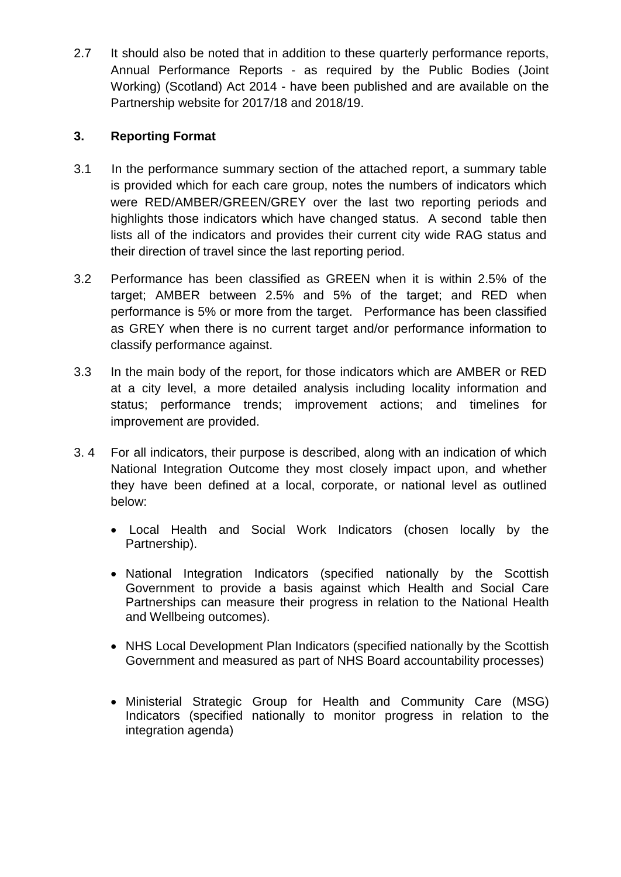2.7 It should also be noted that in addition to these quarterly performance reports, Annual Performance Reports - as required by the Public Bodies (Joint Working) (Scotland) Act 2014 - have been published and are available on the Partnership website for 2017/18 and 2018/19.

#### **3. Reporting Format**

- 3.1 In the performance summary section of the attached report, a summary table is provided which for each care group, notes the numbers of indicators which were RED/AMBER/GREEN/GREY over the last two reporting periods and highlights those indicators which have changed status. A second table then lists all of the indicators and provides their current city wide RAG status and their direction of travel since the last reporting period.
- 3.2 Performance has been classified as GREEN when it is within 2.5% of the target; AMBER between 2.5% and 5% of the target; and RED when performance is 5% or more from the target. Performance has been classified as GREY when there is no current target and/or performance information to classify performance against.
- 3.3 In the main body of the report, for those indicators which are AMBER or RED at a city level, a more detailed analysis including locality information and status; performance trends; improvement actions; and timelines for improvement are provided.
- 3. 4 For all indicators, their purpose is described, along with an indication of which National Integration Outcome they most closely impact upon, and whether they have been defined at a local, corporate, or national level as outlined below:
	- Local Health and Social Work Indicators (chosen locally by the Partnership).
	- National Integration Indicators (specified nationally by the Scottish Government to provide a basis against which Health and Social Care Partnerships can measure their progress in relation to the National Health and Wellbeing outcomes).
	- NHS Local Development Plan Indicators (specified nationally by the Scottish Government and measured as part of NHS Board accountability processes)
	- Ministerial Strategic Group for Health and Community Care (MSG) Indicators (specified nationally to monitor progress in relation to the integration agenda)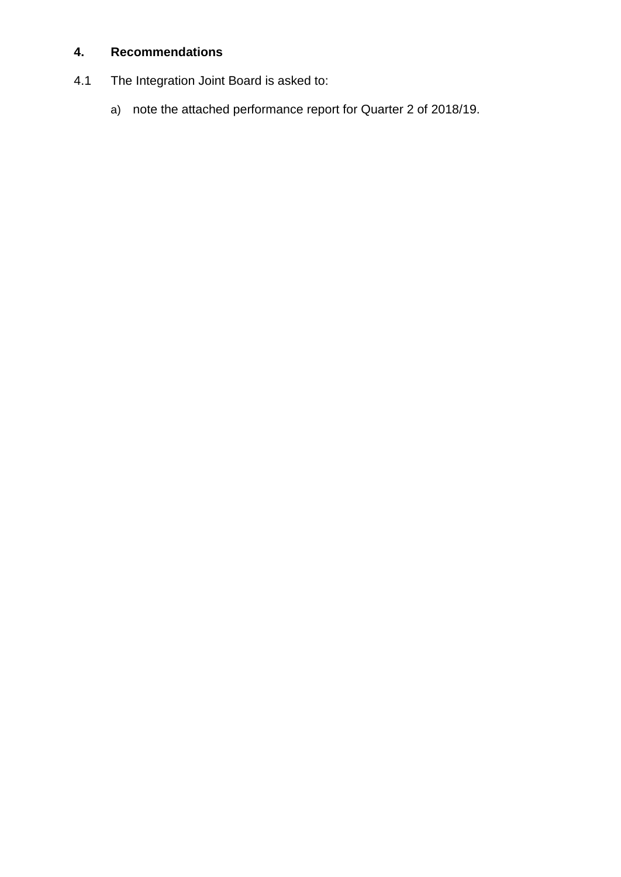### **4. Recommendations**

- 4.1 The Integration Joint Board is asked to:
	- a) note the attached performance report for Quarter 2 of 2018/19.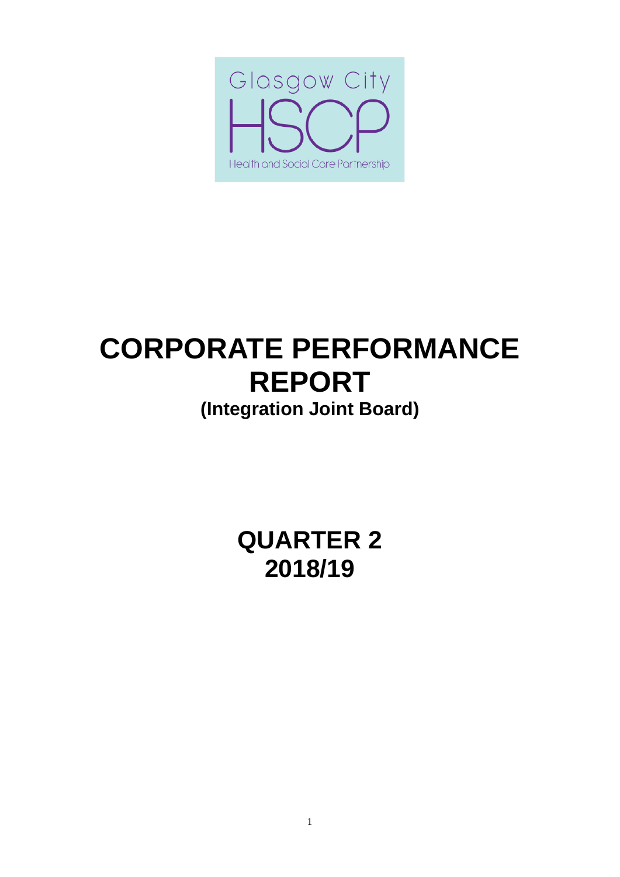

# **CORPORATE PERFORMANCE REPORT (Integration Joint Board)**

**QUARTER 2 2018/19**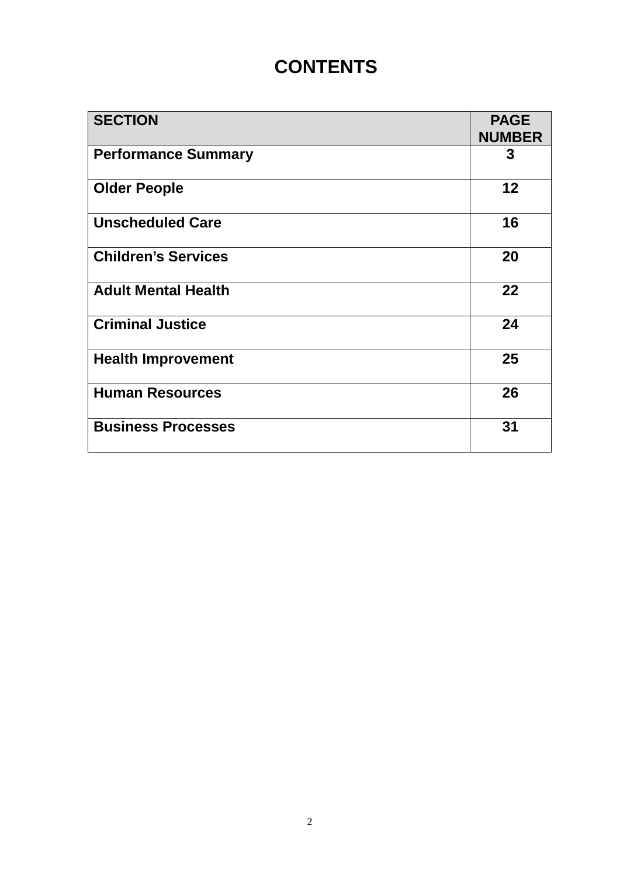## **CONTENTS**

| <b>SECTION</b>             | <b>PAGE</b><br><b>NUMBER</b> |
|----------------------------|------------------------------|
| <b>Performance Summary</b> | 3                            |
| <b>Older People</b>        | 12 <sub>2</sub>              |
| <b>Unscheduled Care</b>    | 16                           |
| <b>Children's Services</b> | 20                           |
| <b>Adult Mental Health</b> | 22                           |
| <b>Criminal Justice</b>    | 24                           |
| <b>Health Improvement</b>  | 25                           |
| <b>Human Resources</b>     | 26                           |
| <b>Business Processes</b>  | 31                           |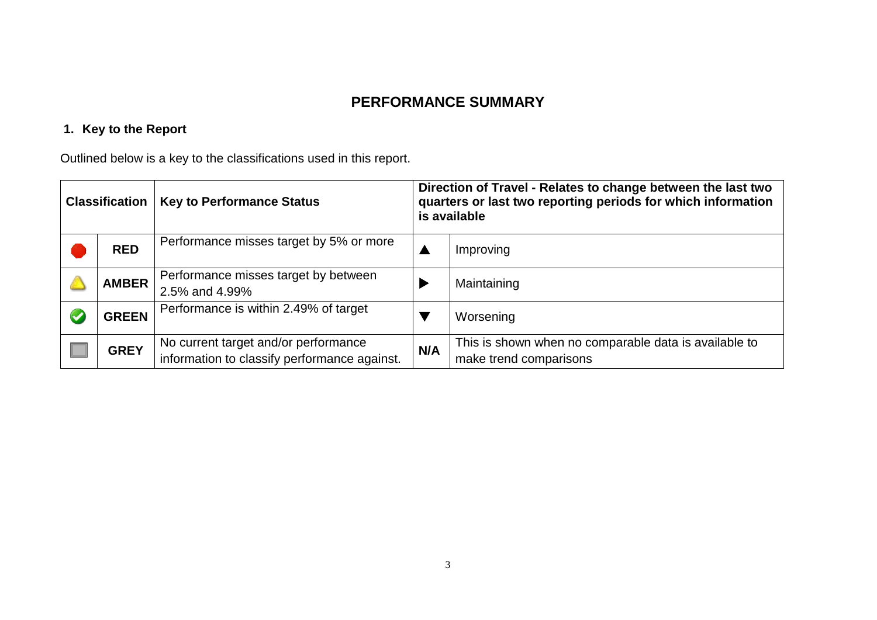## **PERFORMANCE SUMMARY**

## **1. Key to the Report**

Outlined below is a key to the classifications used in this report.

| <b>Classification</b> |              | <b>Key to Performance Status</b>                                                                | Direction of Travel - Relates to change between the last two<br>quarters or last two reporting periods for which information<br>is available |                                                                                 |  |  |  |
|-----------------------|--------------|-------------------------------------------------------------------------------------------------|----------------------------------------------------------------------------------------------------------------------------------------------|---------------------------------------------------------------------------------|--|--|--|
|                       | <b>RED</b>   | Performance misses target by 5% or more                                                         |                                                                                                                                              | Improving                                                                       |  |  |  |
|                       | <b>AMBER</b> | Performance misses target by between<br>2.5% and 4.99%<br>Performance is within 2.49% of target |                                                                                                                                              | Maintaining                                                                     |  |  |  |
|                       | <b>GREEN</b> |                                                                                                 |                                                                                                                                              | Worsening                                                                       |  |  |  |
|                       | <b>GREY</b>  | No current target and/or performance<br>information to classify performance against.            | N/A                                                                                                                                          | This is shown when no comparable data is available to<br>make trend comparisons |  |  |  |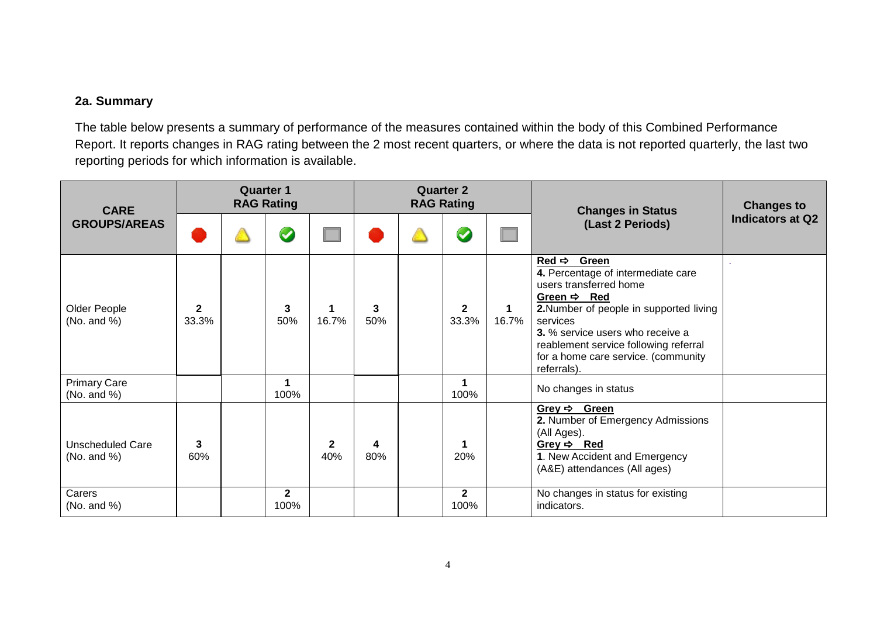#### **2a. Summary**

The table below presents a summary of performance of the measures contained within the body of this Combined Performance Report. It reports changes in RAG rating between the 2 most recent quarters, or where the data is not reported quarterly, the last two reporting periods for which information is available.

| <b>CARE</b>                               | <b>Quarter 1</b><br><b>RAG Rating</b> |  |                      | <b>Quarter 2</b><br><b>RAG Rating</b> |          |  |                       | <b>Changes in Status</b> | <b>Changes to</b>                                                                                                                                                                                                                                                                                            |                  |
|-------------------------------------------|---------------------------------------|--|----------------------|---------------------------------------|----------|--|-----------------------|--------------------------|--------------------------------------------------------------------------------------------------------------------------------------------------------------------------------------------------------------------------------------------------------------------------------------------------------------|------------------|
| <b>GROUPS/AREAS</b>                       |                                       |  | $\bullet$            |                                       |          |  | $\blacktriangledown$  | (Last 2 Periods)         |                                                                                                                                                                                                                                                                                                              | Indicators at Q2 |
| Older People<br>(No. and $%$ )            | $\mathbf{2}$<br>33.3%                 |  | 3<br>50%             | 1<br>16.7%                            | 3<br>50% |  | $\mathbf{2}$<br>33.3% | 1<br>16.7%               | Red $\Rightarrow$ Green<br>4. Percentage of intermediate care<br>users transferred home<br>Green $\Rightarrow$ Red<br>2. Number of people in supported living<br>services<br>3. % service users who receive a<br>reablement service following referral<br>for a home care service. (community<br>referrals). |                  |
| <b>Primary Care</b><br>(No. and %)        |                                       |  | 1<br>100%            |                                       |          |  | 100%                  |                          | No changes in status                                                                                                                                                                                                                                                                                         |                  |
| <b>Unscheduled Care</b><br>(No. and $%$ ) | 3<br>60%                              |  |                      | $\mathbf 2$<br>40%                    | 4<br>80% |  | 20%                   |                          | Grey $\Rightarrow$ Green<br>2. Number of Emergency Admissions<br>(All Ages).<br>Grey $\Rightarrow$ Red<br>1. New Accident and Emergency<br>(A&E) attendances (All ages)                                                                                                                                      |                  |
| Carers<br>(No. and $\%$ )                 |                                       |  | $\mathbf{2}$<br>100% |                                       |          |  | $\mathbf{2}$<br>100%  |                          | No changes in status for existing<br>indicators.                                                                                                                                                                                                                                                             |                  |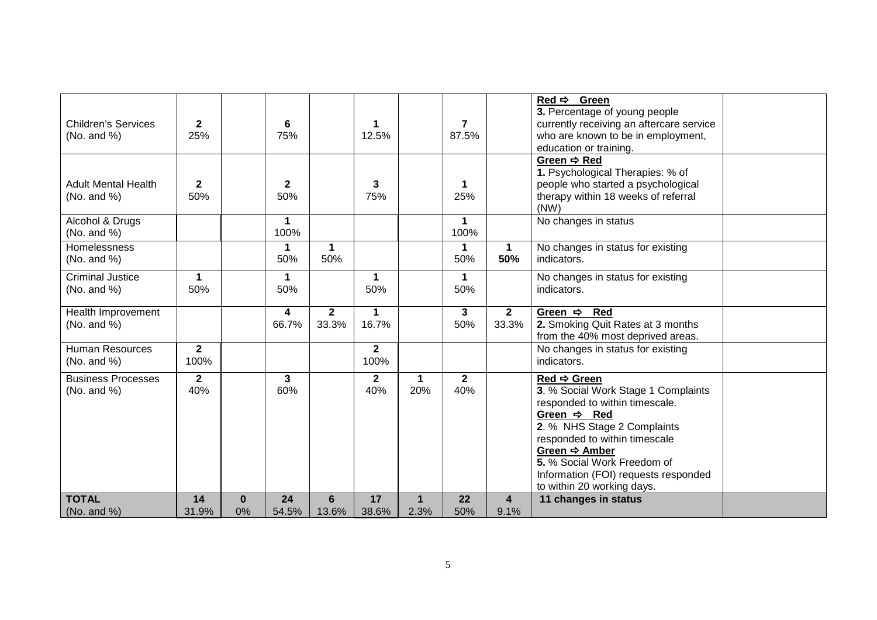|                             |                |                    |                         |                |                |                      |                      |              | Red $\Rightarrow$ Green                            |  |
|-----------------------------|----------------|--------------------|-------------------------|----------------|----------------|----------------------|----------------------|--------------|----------------------------------------------------|--|
|                             |                |                    |                         |                |                |                      |                      |              | 3. Percentage of young people                      |  |
| <b>Children's Services</b>  | $\mathbf{2}$   |                    | 6                       |                | 1              |                      | $\overline{7}$       |              | currently receiving an aftercare service           |  |
| (No. and $%$ )              | 25%            |                    | 75%                     |                | 12.5%          |                      | 87.5%                |              | who are known to be in employment,                 |  |
|                             |                |                    |                         |                |                |                      |                      |              | education or training.                             |  |
|                             |                |                    |                         |                |                |                      |                      |              | Green → Red                                        |  |
|                             |                |                    |                         |                |                |                      |                      |              | 1. Psychological Therapies: % of                   |  |
| <b>Adult Mental Health</b>  | $\mathbf 2$    |                    | $\mathbf{2}$            |                | 3              |                      | $\mathbf 1$          |              | people who started a psychological                 |  |
| (No. and %)                 | 50%            |                    | 50%                     |                | 75%            |                      | 25%                  |              | therapy within 18 weeks of referral                |  |
|                             |                |                    |                         |                |                |                      |                      |              | (NW)                                               |  |
| Alcohol & Drugs             |                |                    | $\mathbf 1$             |                |                |                      | $\blacktriangleleft$ |              | No changes in status                               |  |
| (No. and %)                 |                |                    | 100%                    |                |                |                      | 100%                 |              |                                                    |  |
| <b>Homelessness</b>         |                |                    | 1                       | $\mathbf{1}$   |                |                      | $\blacktriangleleft$ | $\mathbf 1$  | No changes in status for existing                  |  |
| (No. and %)                 |                |                    | 50%                     | 50%            |                |                      | 50%                  | 50%          | indicators.                                        |  |
| <b>Criminal Justice</b>     | $\mathbf 1$    |                    | 1                       |                | 1.             |                      | $\blacktriangleleft$ |              | No changes in status for existing                  |  |
| (No. and %)                 | 50%            |                    | 50%                     |                | 50%            |                      | 50%                  |              | indicators.                                        |  |
|                             |                |                    |                         |                |                |                      |                      |              |                                                    |  |
|                             |                |                    |                         |                |                |                      |                      |              |                                                    |  |
| Health Improvement          |                |                    | $\overline{\mathbf{4}}$ | $\overline{2}$ | $\mathbf 1$    |                      | $\mathbf{3}$         | $\mathbf{2}$ | Green $\Rightarrow$ Red                            |  |
| (No. and %)                 |                |                    | 66.7%                   | 33.3%          | 16.7%          |                      | 50%                  | 33.3%        | 2. Smoking Quit Rates at 3 months                  |  |
|                             |                |                    |                         |                |                |                      |                      |              | from the 40% most deprived areas.                  |  |
| <b>Human Resources</b>      | $\overline{2}$ |                    |                         |                | $\overline{2}$ |                      |                      |              | No changes in status for existing                  |  |
| (No. and %)                 | 100%           |                    |                         |                | 100%           |                      |                      |              | indicators.                                        |  |
| <b>Business Processes</b>   | $\mathbf{2}$   |                    | 3                       |                | $\mathbf{2}$   | $\mathbf 1$          | $\mathbf{2}$         |              | $Red \Rightarrow$ Green                            |  |
|                             |                |                    |                         |                |                |                      |                      |              |                                                    |  |
| (No. and %)                 | 40%            |                    | 60%                     |                | 40%            | 20%                  | 40%                  |              | 3. % Social Work Stage 1 Complaints                |  |
|                             |                |                    |                         |                |                |                      |                      |              | responded to within timescale.                     |  |
|                             |                |                    |                         |                |                |                      |                      |              | Green $\Rightarrow$ Red                            |  |
|                             |                |                    |                         |                |                |                      |                      |              | 2. % NHS Stage 2 Complaints                        |  |
|                             |                |                    |                         |                |                |                      |                      |              | responded to within timescale<br>Green → Amber     |  |
|                             |                |                    |                         |                |                |                      |                      |              | 5. % Social Work Freedom of                        |  |
|                             |                |                    |                         |                |                |                      |                      |              | Information (FOI) requests responded               |  |
|                             |                |                    |                         |                |                |                      |                      |              |                                                    |  |
| <b>TOTAL</b><br>(No. and %) | 14<br>31.9%    | $\mathbf{0}$<br>0% | 24<br>54.5%             | 6<br>13.6%     | 17<br>38.6%    | $\mathbf{1}$<br>2.3% | 22<br>50%            | 4<br>9.1%    | to within 20 working days.<br>11 changes in status |  |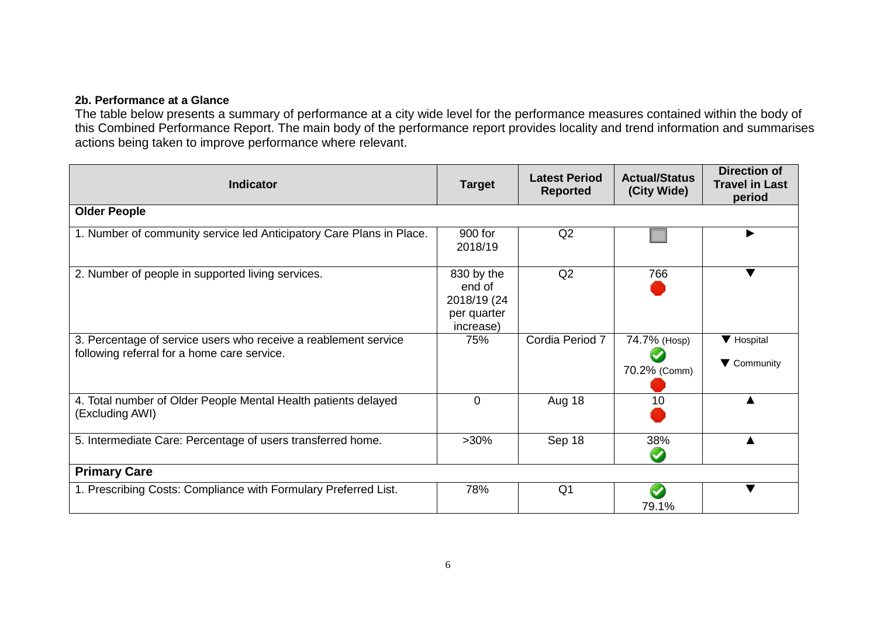#### **2b. Performance at a Glance**

The table below presents a summary of performance at a city wide level for the performance measures contained within the body of this Combined Performance Report. The main body of the performance report provides locality and trend information and summarises actions being taken to improve performance where relevant.

| <b>Indicator</b>                                                                                               | <b>Target</b>                                                   | <b>Latest Period</b><br><b>Reported</b> | <b>Actual/Status</b><br>(City Wide) | <b>Direction of</b><br><b>Travel in Last</b><br>period |
|----------------------------------------------------------------------------------------------------------------|-----------------------------------------------------------------|-----------------------------------------|-------------------------------------|--------------------------------------------------------|
| <b>Older People</b>                                                                                            |                                                                 |                                         |                                     |                                                        |
| 1. Number of community service led Anticipatory Care Plans in Place.                                           | 900 for<br>2018/19                                              | Q2                                      |                                     |                                                        |
| 2. Number of people in supported living services.                                                              | 830 by the<br>end of<br>2018/19 (24<br>per quarter<br>increase) | Q2                                      | 766                                 | ▼                                                      |
| 3. Percentage of service users who receive a reablement service<br>following referral for a home care service. | 75%                                                             | Cordia Period 7                         | 74.7% (Hosp)<br>70.2% (Comm)        | ▼ Hospital<br>▼ Community                              |
| 4. Total number of Older People Mental Health patients delayed<br>(Excluding AWI)                              | $\Omega$                                                        | Aug 18                                  | 10                                  |                                                        |
| 5. Intermediate Care: Percentage of users transferred home.                                                    | $>30\%$                                                         | Sep 18                                  | 38%                                 |                                                        |
| <b>Primary Care</b>                                                                                            |                                                                 |                                         |                                     |                                                        |
| 1. Prescribing Costs: Compliance with Formulary Preferred List.                                                | 78%                                                             | Q <sub>1</sub>                          | 79.1%                               |                                                        |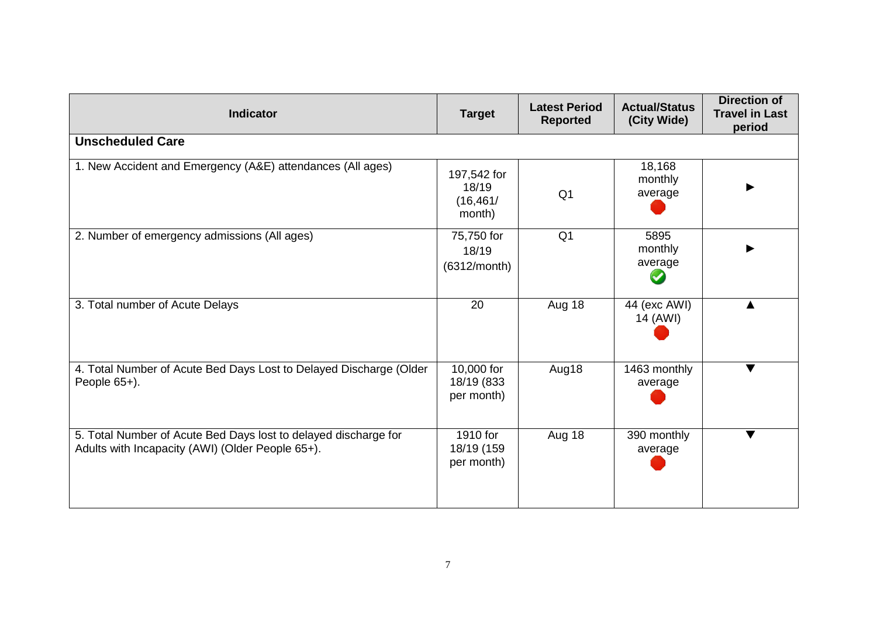| <b>Indicator</b>                                                                                                    | <b>Target</b>                               | <b>Latest Period</b><br><b>Reported</b> | <b>Actual/Status</b><br>(City Wide) | <b>Direction of</b><br><b>Travel in Last</b><br>period |
|---------------------------------------------------------------------------------------------------------------------|---------------------------------------------|-----------------------------------------|-------------------------------------|--------------------------------------------------------|
| <b>Unscheduled Care</b>                                                                                             |                                             |                                         |                                     |                                                        |
| 1. New Accident and Emergency (A&E) attendances (All ages)                                                          | 197,542 for<br>18/19<br>(16, 461/<br>month) | Q <sub>1</sub>                          | 18,168<br>monthly<br>average        |                                                        |
| 2. Number of emergency admissions (All ages)                                                                        | 75,750 for<br>18/19<br>(6312/month)         | Q <sub>1</sub>                          | 5895<br>monthly<br>average          |                                                        |
| 3. Total number of Acute Delays                                                                                     | 20                                          | Aug 18                                  | 44 (exc AWI)<br>14 (AWI)            |                                                        |
| 4. Total Number of Acute Bed Days Lost to Delayed Discharge (Older<br>People 65+).                                  | 10,000 for<br>18/19 (833<br>per month)      | Aug18                                   | 1463 monthly<br>average             | $\blacktriangledown$                                   |
| 5. Total Number of Acute Bed Days lost to delayed discharge for<br>Adults with Incapacity (AWI) (Older People 65+). | 1910 for<br>18/19 (159<br>per month)        | Aug 18                                  | 390 monthly<br>average              | $\blacktriangledown$                                   |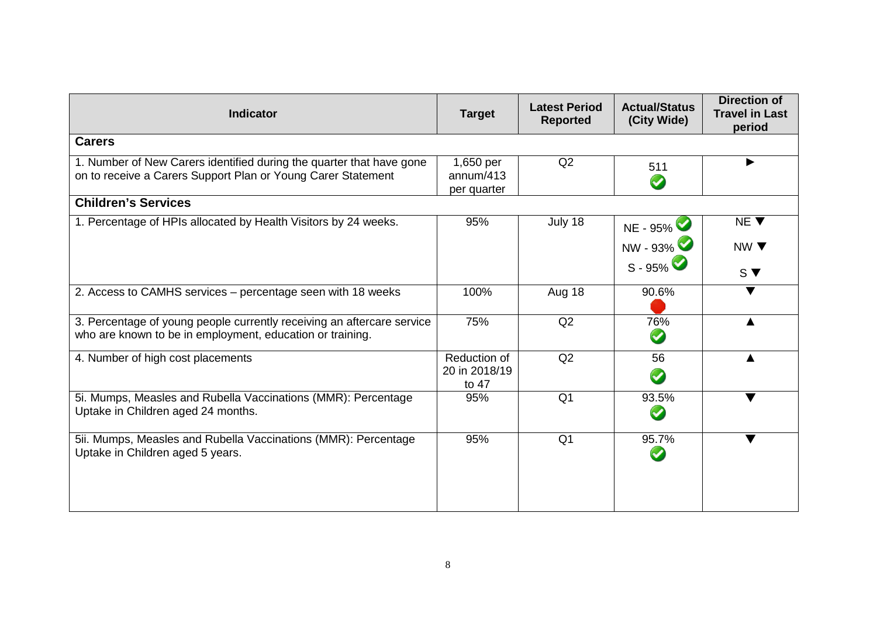| <b>Indicator</b>                                                                                                                     | <b>Target</b>                          | <b>Latest Period</b><br><b>Reported</b> | <b>Actual/Status</b><br>(City Wide) | <b>Direction of</b><br><b>Travel in Last</b><br>period |
|--------------------------------------------------------------------------------------------------------------------------------------|----------------------------------------|-----------------------------------------|-------------------------------------|--------------------------------------------------------|
| <b>Carers</b>                                                                                                                        |                                        |                                         |                                     |                                                        |
| 1. Number of New Carers identified during the quarter that have gone<br>on to receive a Carers Support Plan or Young Carer Statement | 1,650 per<br>annum/413<br>per quarter  | Q2                                      | 511<br>$\blacktriangledown$         |                                                        |
| <b>Children's Services</b>                                                                                                           |                                        |                                         |                                     |                                                        |
| 1. Percentage of HPIs allocated by Health Visitors by 24 weeks.                                                                      | 95%                                    | July 18                                 | NE - 95%                            | NE V                                                   |
|                                                                                                                                      |                                        |                                         | NW - 93%<br>$S - 95\%$              | NW $\blacktriangledown$<br>$S \blacktriangledown$      |
| 2. Access to CAMHS services - percentage seen with 18 weeks                                                                          | 100%                                   | Aug 18                                  | 90.6%                               | ▼                                                      |
| 3. Percentage of young people currently receiving an aftercare service<br>who are known to be in employment, education or training.  | 75%                                    | Q2                                      | 76%<br>$\bullet$                    |                                                        |
| 4. Number of high cost placements                                                                                                    | Reduction of<br>20 in 2018/19<br>to 47 | Q2                                      | 56<br>$\boldsymbol{\omega}$         |                                                        |
| 5i. Mumps, Measles and Rubella Vaccinations (MMR): Percentage<br>Uptake in Children aged 24 months.                                  | 95%                                    | Q <sub>1</sub>                          | 93.5%<br>$\blacktriangledown$       |                                                        |
| 5ii. Mumps, Measles and Rubella Vaccinations (MMR): Percentage<br>Uptake in Children aged 5 years.                                   | 95%                                    | Q <sub>1</sub>                          | 95.7%<br>$\blacktriangledown$       | $\blacktriangledown$                                   |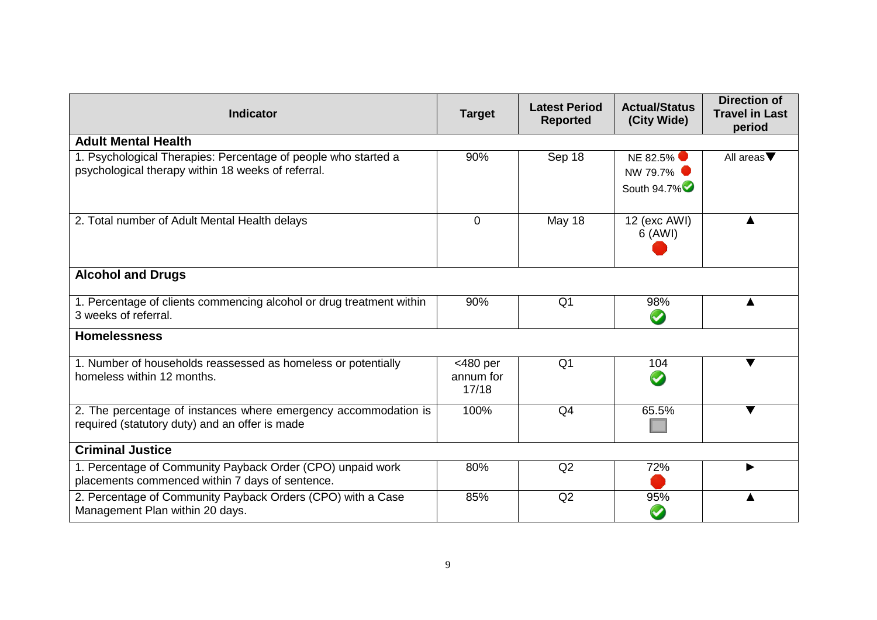| <b>Indicator</b>                                                                                                     | <b>Target</b>                     | <b>Latest Period</b><br><b>Reported</b> | <b>Actual/Status</b><br>(City Wide) | <b>Direction of</b><br><b>Travel in Last</b><br>period |
|----------------------------------------------------------------------------------------------------------------------|-----------------------------------|-----------------------------------------|-------------------------------------|--------------------------------------------------------|
| <b>Adult Mental Health</b>                                                                                           |                                   |                                         |                                     |                                                        |
| 1. Psychological Therapies: Percentage of people who started a<br>psychological therapy within 18 weeks of referral. | 90%                               | Sep 18                                  | NE 82.5%<br>NW 79.7%<br>South 94.7% | All areas $\nabla$                                     |
| 2. Total number of Adult Mental Health delays                                                                        | $\mathbf{0}$                      | May 18                                  | 12 (exc AWI)<br>6 (AWI)             | ▲                                                      |
| <b>Alcohol and Drugs</b>                                                                                             |                                   |                                         |                                     |                                                        |
| 1. Percentage of clients commencing alcohol or drug treatment within<br>3 weeks of referral.                         | 90%                               | Q <sub>1</sub>                          | 98%<br>$\blacktriangledown$         |                                                        |
| <b>Homelessness</b>                                                                                                  |                                   |                                         |                                     |                                                        |
| 1. Number of households reassessed as homeless or potentially<br>homeless within 12 months.                          | $<$ 480 per<br>annum for<br>17/18 | Q <sub>1</sub>                          | 104<br>$\blacktriangledown$         |                                                        |
| 2. The percentage of instances where emergency accommodation is<br>required (statutory duty) and an offer is made    | 100%                              | Q <sub>4</sub>                          | 65.5%                               | ▼                                                      |
| <b>Criminal Justice</b>                                                                                              |                                   |                                         |                                     |                                                        |
| 1. Percentage of Community Payback Order (CPO) unpaid work<br>placements commenced within 7 days of sentence.        | 80%                               | Q <sub>2</sub>                          | 72%                                 |                                                        |
| 2. Percentage of Community Payback Orders (CPO) with a Case<br>Management Plan within 20 days.                       | 85%                               | Q2                                      | 95%<br>$\blacktriangledown$         |                                                        |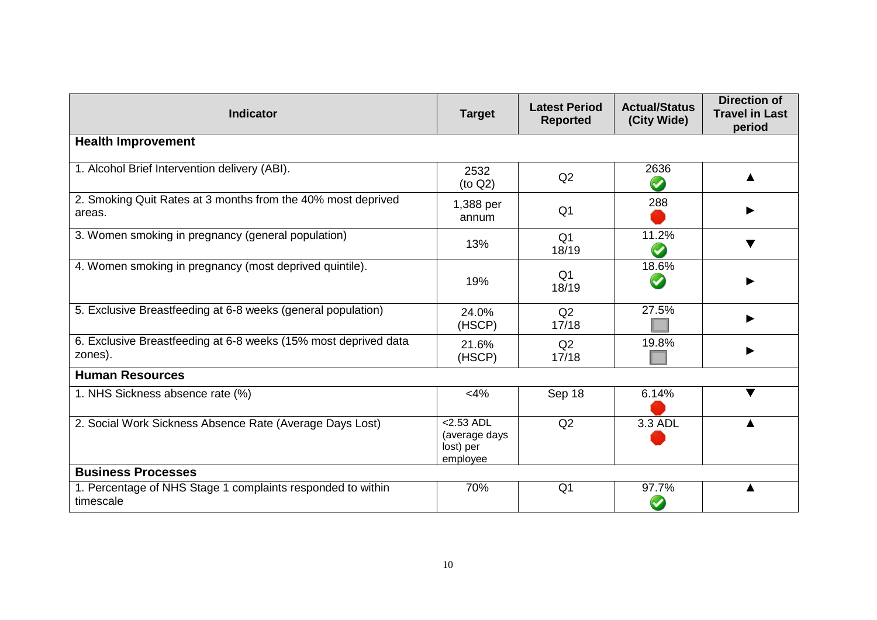| <b>Indicator</b>                                                           | <b>Target</b>                                          | <b>Latest Period</b><br><b>Reported</b> | <b>Actual/Status</b><br>(City Wide) | <b>Direction of</b><br><b>Travel in Last</b><br>period |
|----------------------------------------------------------------------------|--------------------------------------------------------|-----------------------------------------|-------------------------------------|--------------------------------------------------------|
| <b>Health Improvement</b>                                                  |                                                        |                                         |                                     |                                                        |
| 1. Alcohol Brief Intervention delivery (ABI).                              | 2532<br>(to Q2)                                        | Q2                                      | 2636<br>$\bm{\omega}$               |                                                        |
| 2. Smoking Quit Rates at 3 months from the 40% most deprived<br>areas.     | 1,388 per<br>annum                                     | Q <sub>1</sub>                          | 288                                 |                                                        |
| 3. Women smoking in pregnancy (general population)                         | 13%                                                    | Q <sub>1</sub><br>18/19                 | 11.2%                               |                                                        |
| 4. Women smoking in pregnancy (most deprived quintile).                    | 19%                                                    | Q <sub>1</sub><br>18/19                 | 18.6%                               |                                                        |
| 5. Exclusive Breastfeeding at 6-8 weeks (general population)               | 24.0%<br>(HSCP)                                        | Q2<br>17/18                             | 27.5%                               |                                                        |
| 6. Exclusive Breastfeeding at 6-8 weeks (15% most deprived data<br>zones). | 21.6%<br>(HSCP)                                        | Q2<br>17/18                             | 19.8%                               |                                                        |
| <b>Human Resources</b>                                                     |                                                        |                                         |                                     |                                                        |
| 1. NHS Sickness absence rate (%)                                           | $<$ 4%                                                 | Sep 18                                  | 6.14%                               | $\blacktriangledown$                                   |
| 2. Social Work Sickness Absence Rate (Average Days Lost)                   | $<$ 2.53 ADL<br>(average days<br>lost) per<br>employee | Q2                                      | 3.3 ADL                             |                                                        |
| <b>Business Processes</b>                                                  |                                                        |                                         |                                     |                                                        |
| 1. Percentage of NHS Stage 1 complaints responded to within<br>timescale   | 70%                                                    | Q <sub>1</sub>                          | 97.7%                               |                                                        |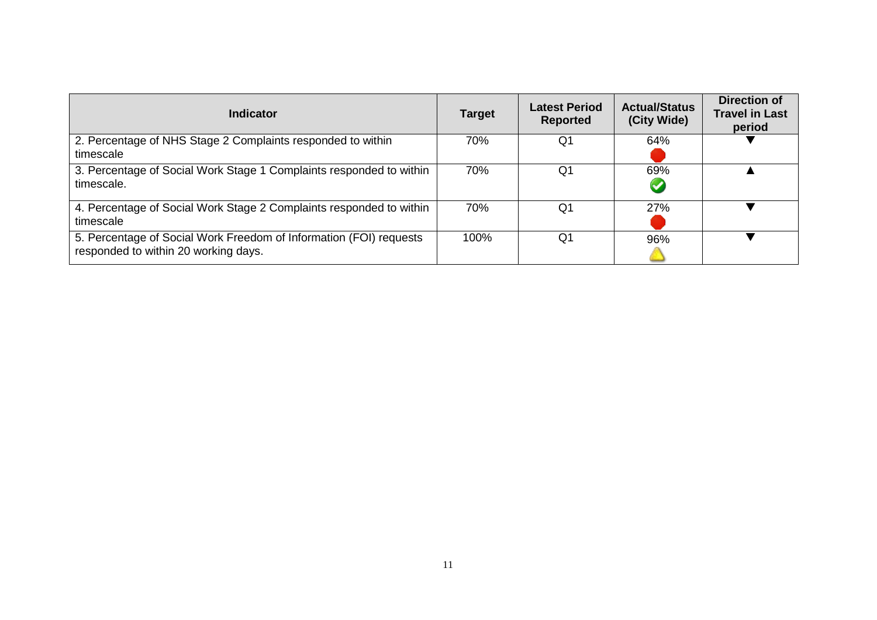| Indicator                                                                                                  | <b>Target</b> | <b>Latest Period</b><br><b>Reported</b> | <b>Actual/Status</b><br>(City Wide) | <b>Direction of</b><br><b>Travel in Last</b><br>period |
|------------------------------------------------------------------------------------------------------------|---------------|-----------------------------------------|-------------------------------------|--------------------------------------------------------|
| 2. Percentage of NHS Stage 2 Complaints responded to within<br>timescale                                   | 70%           | Q1                                      | 64%                                 |                                                        |
| 3. Percentage of Social Work Stage 1 Complaints responded to within<br>timescale.                          | 70%           | Q1                                      | 69%<br>$\blacktriangledown$         |                                                        |
| 4. Percentage of Social Work Stage 2 Complaints responded to within<br>timescale                           | 70%           | Q1                                      | 27%                                 |                                                        |
| 5. Percentage of Social Work Freedom of Information (FOI) requests<br>responded to within 20 working days. | 100%          | Q1                                      | 96%                                 |                                                        |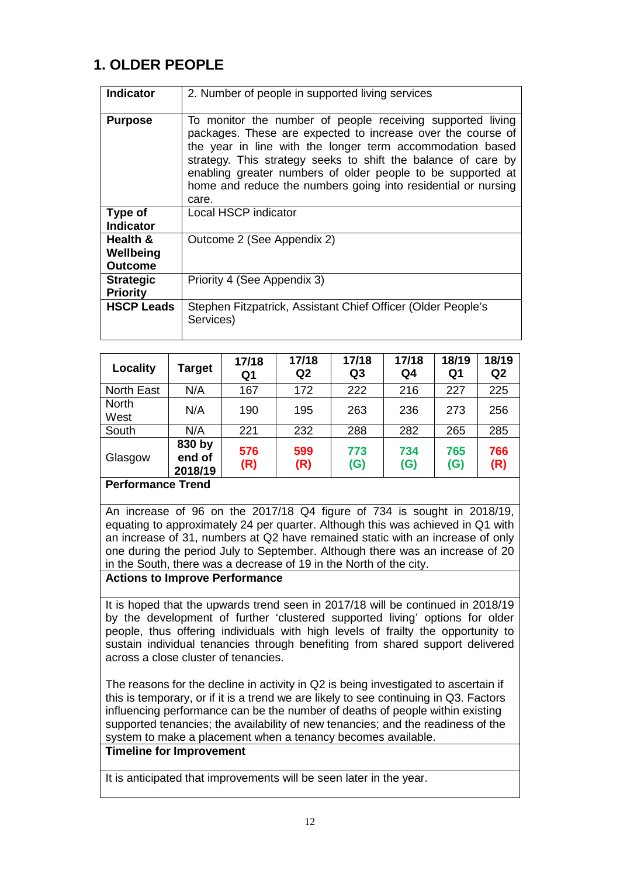## **1. OLDER PEOPLE**

| <b>Indicator</b>                        | 2. Number of people in supported living services                                                                                                                                                                                                                                                                                                                                                 |
|-----------------------------------------|--------------------------------------------------------------------------------------------------------------------------------------------------------------------------------------------------------------------------------------------------------------------------------------------------------------------------------------------------------------------------------------------------|
| <b>Purpose</b>                          | To monitor the number of people receiving supported living<br>packages. These are expected to increase over the course of<br>the year in line with the longer term accommodation based<br>strategy. This strategy seeks to shift the balance of care by<br>enabling greater numbers of older people to be supported at<br>home and reduce the numbers going into residential or nursing<br>care. |
| Type of<br><b>Indicator</b>             | Local HSCP indicator                                                                                                                                                                                                                                                                                                                                                                             |
| Health &<br>Wellbeing<br><b>Outcome</b> | Outcome 2 (See Appendix 2)                                                                                                                                                                                                                                                                                                                                                                       |
| <b>Strategic</b><br><b>Priority</b>     | Priority 4 (See Appendix 3)                                                                                                                                                                                                                                                                                                                                                                      |
| <b>HSCP Leads</b>                       | Stephen Fitzpatrick, Assistant Chief Officer (Older People's<br>Services)                                                                                                                                                                                                                                                                                                                        |

| Locality             | Target                      | 17/18<br>Q <sub>1</sub> | 17/18<br>Q2 | 17/18<br>Q <sub>3</sub> | 17/18<br>Q4 | 18/19<br>Q1 | 18/19<br>Q2 |
|----------------------|-----------------------------|-------------------------|-------------|-------------------------|-------------|-------------|-------------|
| <b>North East</b>    | N/A                         | 167                     | 172         | 222                     | 216         | 227         | 225         |
| <b>North</b><br>West | N/A                         | 190                     | 195         | 263                     | 236         | 273         | 256         |
| South                | N/A                         | 221                     | 232         | 288                     | 282         | 265         | 285         |
| Glasgow<br>- -       | 830 by<br>end of<br>2018/19 | 576<br>(R)              | 599<br>(R)  | 773<br>(G)              | 734<br>(G)  | 765<br>(G)  | 766<br>(R)  |

#### **Performance Trend**

An increase of 96 on the 2017/18 Q4 figure of 734 is sought in 2018/19, equating to approximately 24 per quarter. Although this was achieved in Q1 with an increase of 31, numbers at Q2 have remained static with an increase of only one during the period July to September. Although there was an increase of 20 in the South, there was a decrease of 19 in the North of the city.

#### **Actions to Improve Performance**

It is hoped that the upwards trend seen in 2017/18 will be continued in 2018/19 by the development of further 'clustered supported living' options for older people, thus offering individuals with high levels of frailty the opportunity to sustain individual tenancies through benefiting from shared support delivered across a close cluster of tenancies.

The reasons for the decline in activity in Q2 is being investigated to ascertain if this is temporary, or if it is a trend we are likely to see continuing in Q3. Factors influencing performance can be the number of deaths of people within existing supported tenancies; the availability of new tenancies; and the readiness of the system to make a placement when a tenancy becomes available.

#### **Timeline for Improvement**

It is anticipated that improvements will be seen later in the year.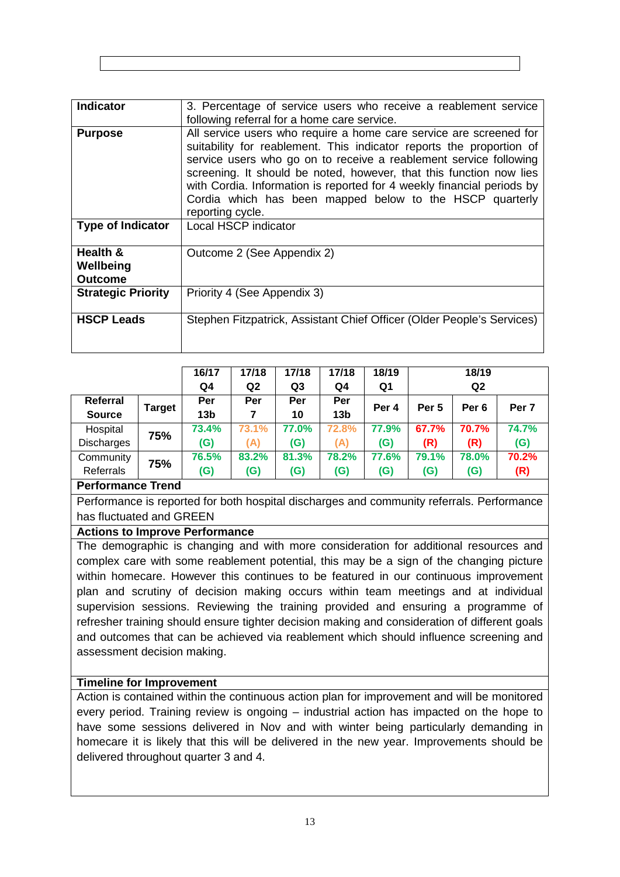| <b>Indicator</b>                        | 3. Percentage of service users who receive a reablement service                                                                                                                                                                                                                                                                                                                                                                                  |
|-----------------------------------------|--------------------------------------------------------------------------------------------------------------------------------------------------------------------------------------------------------------------------------------------------------------------------------------------------------------------------------------------------------------------------------------------------------------------------------------------------|
|                                         | following referral for a home care service.                                                                                                                                                                                                                                                                                                                                                                                                      |
| <b>Purpose</b>                          | All service users who require a home care service are screened for<br>suitability for reablement. This indicator reports the proportion of<br>service users who go on to receive a reablement service following<br>screening. It should be noted, however, that this function now lies<br>with Cordia. Information is reported for 4 weekly financial periods by<br>Cordia which has been mapped below to the HSCP quarterly<br>reporting cycle. |
| <b>Type of Indicator</b>                | Local HSCP indicator                                                                                                                                                                                                                                                                                                                                                                                                                             |
| Health &<br>Wellbeing<br><b>Outcome</b> | Outcome 2 (See Appendix 2)                                                                                                                                                                                                                                                                                                                                                                                                                       |
| <b>Strategic Priority</b>               | Priority 4 (See Appendix 3)                                                                                                                                                                                                                                                                                                                                                                                                                      |
| <b>HSCP Leads</b>                       | Stephen Fitzpatrick, Assistant Chief Officer (Older People's Services)                                                                                                                                                                                                                                                                                                                                                                           |

|               |        | 16/17           | 17/18          | 17/18 | 17/18           | 18/19            | 18/19            |                  |                  |  |
|---------------|--------|-----------------|----------------|-------|-----------------|------------------|------------------|------------------|------------------|--|
|               |        | Q4              | Q <sub>2</sub> | Q3    | Q4              | Q1               |                  | Q <sub>2</sub>   |                  |  |
| Referral      |        | Per             | Per            | Per   | Per             | Per <sub>4</sub> | Per <sub>5</sub> | Per <sub>6</sub> | Per <sub>7</sub> |  |
| <b>Source</b> | Target | 13 <sub>b</sub> | 7              | 10    | 13 <sub>b</sub> |                  |                  |                  |                  |  |
| Hospital      | 75%    | 73.4%           | 73.1%          | 77.0% | 72.8%           | 77.9%            | 67.7%            | 70.7%            | 74.7%            |  |
| Discharges    |        | (G)             | (A)            | (G)   | (A)             | (G)              | (R)              | (R)              | (G)              |  |
| Community     | 75%    | 76.5%           | 83.2%          | 81.3% | 78.2%           | 77.6%            | 79.1%            | 78.0%            | 70.2%            |  |
| Referrals     |        | (G)             | (G)            | (G)   | (G)             | (G)              | (G)              | (G)              | (R)              |  |
|               |        |                 |                |       |                 |                  |                  |                  |                  |  |

Performance is reported for both hospital discharges and community referrals. Performance has fluctuated and GREEN

#### **Actions to Improve Performance**

The demographic is changing and with more consideration for additional resources and complex care with some reablement potential, this may be a sign of the changing picture within homecare. However this continues to be featured in our continuous improvement plan and scrutiny of decision making occurs within team meetings and at individual supervision sessions. Reviewing the training provided and ensuring a programme of refresher training should ensure tighter decision making and consideration of different goals and outcomes that can be achieved via reablement which should influence screening and assessment decision making.

#### **Timeline for Improvement**

Action is contained within the continuous action plan for improvement and will be monitored every period. Training review is ongoing – industrial action has impacted on the hope to have some sessions delivered in Nov and with winter being particularly demanding in homecare it is likely that this will be delivered in the new year. Improvements should be delivered throughout quarter 3 and 4.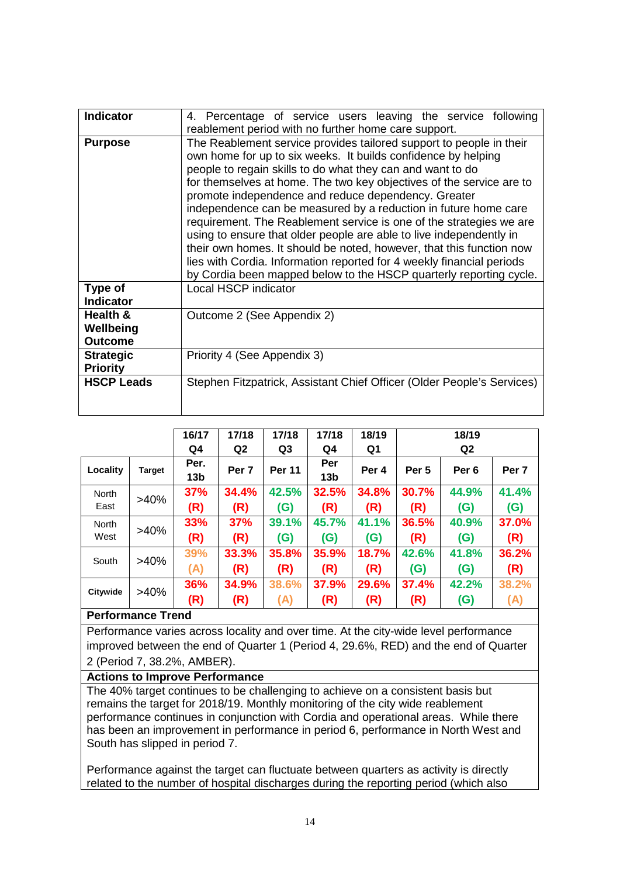| <b>Indicator</b>                        | 4. Percentage of service users leaving the service following<br>reablement period with no further home care support.                                                                                                                                                                                                                                                                                                                                                                                                                                                                                                                                                                                                                                                      |
|-----------------------------------------|---------------------------------------------------------------------------------------------------------------------------------------------------------------------------------------------------------------------------------------------------------------------------------------------------------------------------------------------------------------------------------------------------------------------------------------------------------------------------------------------------------------------------------------------------------------------------------------------------------------------------------------------------------------------------------------------------------------------------------------------------------------------------|
| <b>Purpose</b>                          | The Reablement service provides tailored support to people in their<br>own home for up to six weeks. It builds confidence by helping<br>people to regain skills to do what they can and want to do<br>for themselves at home. The two key objectives of the service are to<br>promote independence and reduce dependency. Greater<br>independence can be measured by a reduction in future home care<br>requirement. The Reablement service is one of the strategies we are<br>using to ensure that older people are able to live independently in<br>their own homes. It should be noted, however, that this function now<br>lies with Cordia. Information reported for 4 weekly financial periods<br>by Cordia been mapped below to the HSCP quarterly reporting cycle. |
| Type of<br><b>Indicator</b>             | <b>Local HSCP indicator</b>                                                                                                                                                                                                                                                                                                                                                                                                                                                                                                                                                                                                                                                                                                                                               |
| Health &<br>Wellbeing<br><b>Outcome</b> | Outcome 2 (See Appendix 2)                                                                                                                                                                                                                                                                                                                                                                                                                                                                                                                                                                                                                                                                                                                                                |
| <b>Strategic</b><br><b>Priority</b>     | Priority 4 (See Appendix 3)                                                                                                                                                                                                                                                                                                                                                                                                                                                                                                                                                                                                                                                                                                                                               |
| <b>HSCP Leads</b>                       | Stephen Fitzpatrick, Assistant Chief Officer (Older People's Services)                                                                                                                                                                                                                                                                                                                                                                                                                                                                                                                                                                                                                                                                                                    |

|              |               | 16/17           | 17/18            | 17/18          | 17/18           | 18/19 | 18/19            |                  |                  |
|--------------|---------------|-----------------|------------------|----------------|-----------------|-------|------------------|------------------|------------------|
|              |               | Q4              | Q <sub>2</sub>   | Q <sub>3</sub> | Q4              | Q1    | Q <sub>2</sub>   |                  |                  |
| Locality     | <b>Target</b> | Per.            | Per <sub>7</sub> | <b>Per 11</b>  | Per             | Per 4 | Per <sub>5</sub> | Per <sub>6</sub> | Per <sub>7</sub> |
|              |               | 13 <sub>b</sub> |                  |                | 13 <sub>b</sub> |       |                  |                  |                  |
| <b>North</b> | $>40\%$       | 37%             | 34.4%            | 42.5%          | 32.5%           | 34.8% | 30.7%            | 44.9%            | 41.4%            |
| East         |               | (R)             | (R)              | (G)            | (R)             | (R)   | (R)              | (G)              | (G)              |
| <b>North</b> | $>40\%$       | 33%             | 37%              | 39.1%          | 45.7%           | 41.1% | 36.5%            | 40.9%            | 37.0%            |
| West         |               | (R)             | (R)              | (G)            | (G)             | (G)   | (R)              | (G)              | (R)              |
| South        | $>40\%$       | 39%             | 33.3%            | 35.8%          | 35.9%           | 18.7% | 42.6%            | 41.8%            | 36.2%            |
|              |               | (A)             | (R)              | (R)            | (R)             | (R)   | (G)              | (G)              | (R)              |
|              | $>40\%$       | 36%             | 34.9%            | 38.6%          | 37.9%           | 29.6% | 37.4%            | 42.2%            | 38.2%            |
| Citywide     |               | (R)             | (R)              | (A)            | (R)             | (R)   | (R)              | (G)              | (A)              |

Performance varies across locality and over time. At the city-wide level performance improved between the end of Quarter 1 (Period 4, 29.6%, RED) and the end of Quarter 2 (Period 7, 38.2%, AMBER).

#### **Actions to Improve Performance**

The 40% target continues to be challenging to achieve on a consistent basis but remains the target for 2018/19. Monthly monitoring of the city wide reablement performance continues in conjunction with Cordia and operational areas. While there has been an improvement in performance in period 6, performance in North West and South has slipped in period 7.

Performance against the target can fluctuate between quarters as activity is directly related to the number of hospital discharges during the reporting period (which also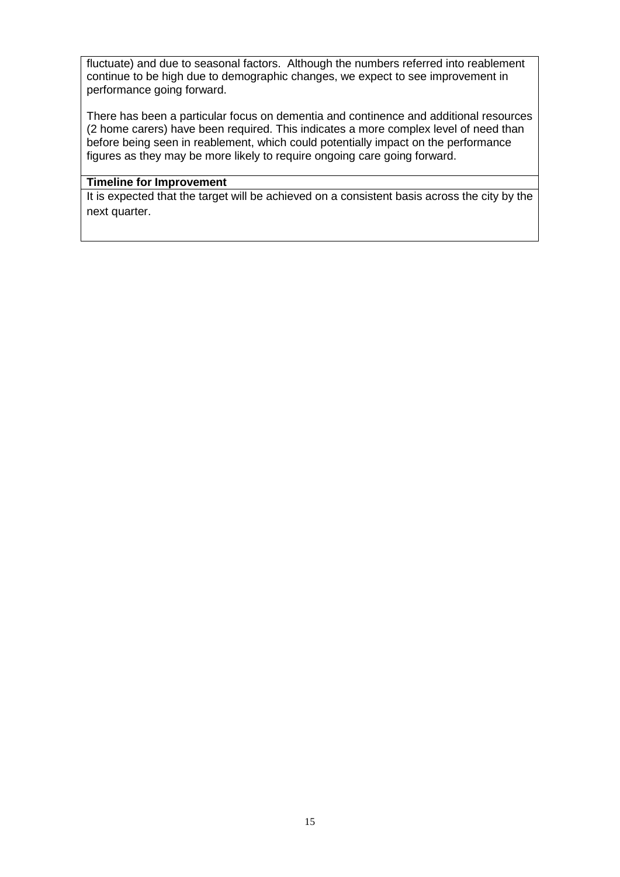fluctuate) and due to seasonal factors. Although the numbers referred into reablement continue to be high due to demographic changes, we expect to see improvement in performance going forward.

There has been a particular focus on dementia and continence and additional resources (2 home carers) have been required. This indicates a more complex level of need than before being seen in reablement, which could potentially impact on the performance figures as they may be more likely to require ongoing care going forward.

#### **Timeline for Improvement**

It is expected that the target will be achieved on a consistent basis across the city by the next quarter.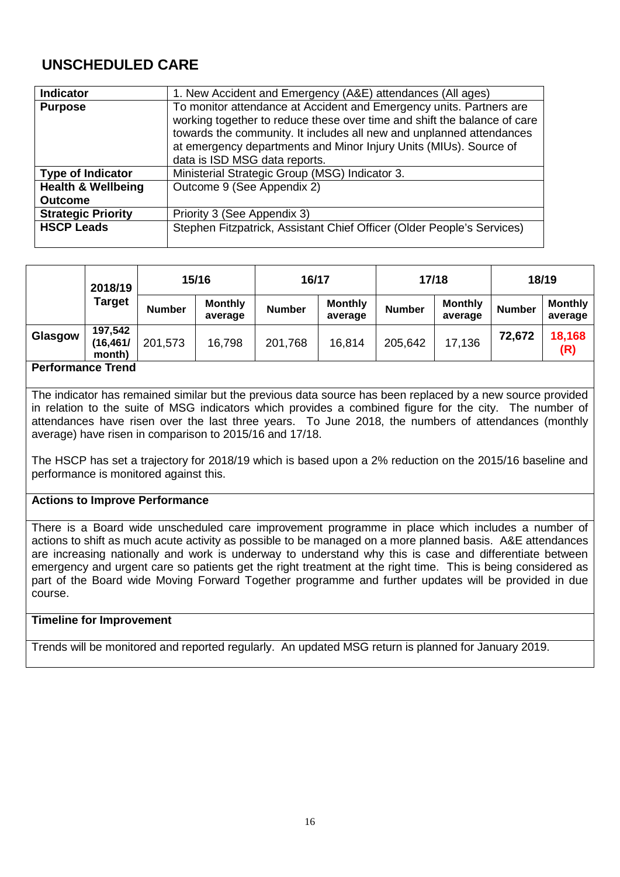## **UNSCHEDULED CARE**

| Indicator                     | 1. New Accident and Emergency (A&E) attendances (All ages)                                                                                                                                                                                                                                                                    |
|-------------------------------|-------------------------------------------------------------------------------------------------------------------------------------------------------------------------------------------------------------------------------------------------------------------------------------------------------------------------------|
| <b>Purpose</b>                | To monitor attendance at Accident and Emergency units. Partners are<br>working together to reduce these over time and shift the balance of care<br>towards the community. It includes all new and unplanned attendances<br>at emergency departments and Minor Injury Units (MIUs). Source of<br>data is ISD MSG data reports. |
| <b>Type of Indicator</b>      | Ministerial Strategic Group (MSG) Indicator 3.                                                                                                                                                                                                                                                                                |
| <b>Health &amp; Wellbeing</b> | Outcome 9 (See Appendix 2)                                                                                                                                                                                                                                                                                                    |
| <b>Outcome</b>                |                                                                                                                                                                                                                                                                                                                               |
| <b>Strategic Priority</b>     | Priority 3 (See Appendix 3)                                                                                                                                                                                                                                                                                                   |
| <b>HSCP Leads</b>             | Stephen Fitzpatrick, Assistant Chief Officer (Older People's Services)                                                                                                                                                                                                                                                        |

|                          | 2018/19                        |               | 15/16                     | 16/17         |                           | 17/18         |                           | 18/19         |                           |
|--------------------------|--------------------------------|---------------|---------------------------|---------------|---------------------------|---------------|---------------------------|---------------|---------------------------|
|                          | Target                         | <b>Number</b> | <b>Monthly</b><br>average | <b>Number</b> | <b>Monthly</b><br>average | <b>Number</b> | <b>Monthly</b><br>average | <b>Number</b> | <b>Monthly</b><br>average |
| Glasgow                  | 197,542<br>(16, 461/<br>month) | 201,573       | 16,798                    | 201,768       | 16.814                    | 205,642       | 17,136                    | 72,672        | 18,168<br>(R)             |
| <b>Dorformance Trand</b> |                                |               |                           |               |                           |               |                           |               |                           |

#### **Performance Trend**

The indicator has remained similar but the previous data source has been replaced by a new source provided in relation to the suite of MSG indicators which provides a combined figure for the city. The number of attendances have risen over the last three years. To June 2018, the numbers of attendances (monthly average) have risen in comparison to 2015/16 and 17/18.

The HSCP has set a trajectory for 2018/19 which is based upon a 2% reduction on the 2015/16 baseline and performance is monitored against this.

#### **Actions to Improve Performance**

There is a Board wide unscheduled care improvement programme in place which includes a number of actions to shift as much acute activity as possible to be managed on a more planned basis. A&E attendances are increasing nationally and work is underway to understand why this is case and differentiate between emergency and urgent care so patients get the right treatment at the right time. This is being considered as part of the Board wide Moving Forward Together programme and further updates will be provided in due course.

#### **Timeline for Improvement**

Trends will be monitored and reported regularly. An updated MSG return is planned for January 2019.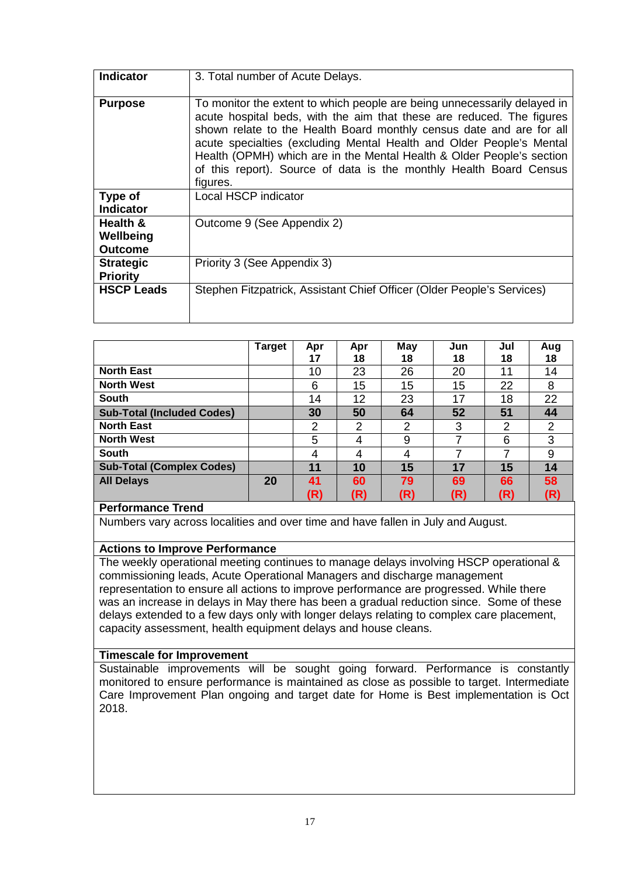| <b>Indicator</b>                        | 3. Total number of Acute Delays.                                                                                                                                                                                                                                                                                                                                                                                                                             |
|-----------------------------------------|--------------------------------------------------------------------------------------------------------------------------------------------------------------------------------------------------------------------------------------------------------------------------------------------------------------------------------------------------------------------------------------------------------------------------------------------------------------|
| <b>Purpose</b>                          | To monitor the extent to which people are being unnecessarily delayed in<br>acute hospital beds, with the aim that these are reduced. The figures<br>shown relate to the Health Board monthly census date and are for all<br>acute specialties (excluding Mental Health and Older People's Mental<br>Health (OPMH) which are in the Mental Health & Older People's section<br>of this report). Source of data is the monthly Health Board Census<br>figures. |
| Type of<br><b>Indicator</b>             | Local HSCP indicator                                                                                                                                                                                                                                                                                                                                                                                                                                         |
| Health &<br>Wellbeing<br><b>Outcome</b> | Outcome 9 (See Appendix 2)                                                                                                                                                                                                                                                                                                                                                                                                                                   |
| <b>Strategic</b><br><b>Priority</b>     | Priority 3 (See Appendix 3)                                                                                                                                                                                                                                                                                                                                                                                                                                  |
| <b>HSCP Leads</b>                       | Stephen Fitzpatrick, Assistant Chief Officer (Older People's Services)                                                                                                                                                                                                                                                                                                                                                                                       |

|                                   | <b>Target</b> | Apr<br>17 | Apr<br>18 | May<br>18 | Jun<br>18 | Jul<br>18 | Aug<br>18 |
|-----------------------------------|---------------|-----------|-----------|-----------|-----------|-----------|-----------|
| <b>North East</b>                 |               | 10        | 23        | 26        | 20        | 11        | 14        |
| <b>North West</b>                 |               | 6         | 15        | 15        | 15        | 22        | 8         |
| South                             |               | 14        | 12        | 23        | 17        | 18        | 22        |
| <b>Sub-Total (Included Codes)</b> |               | 30        | 50        | 64        | 52        | 51        | 44        |
| <b>North East</b>                 |               | 2         | 2         | 2         | 3         | 2         | 2         |
| <b>North West</b>                 |               | 5         | 4         | 9         |           | 6         | 3         |
| <b>South</b>                      |               | 4         | 4         | 4         | 7         | 7         | 9         |
| <b>Sub-Total (Complex Codes)</b>  |               | 11        | 10        | 15        | 17        | 15        | 14        |
| <b>All Delays</b>                 | 20            | 41        | 60        | 79        | 69        | 66        | 58        |
|                                   |               | (R)       | (R)       | (R)       | (R)       | (R)       | (R)       |

Numbers vary across localities and over time and have fallen in July and August.

#### **Actions to Improve Performance**

The weekly operational meeting continues to manage delays involving HSCP operational & commissioning leads, Acute Operational Managers and discharge management representation to ensure all actions to improve performance are progressed. While there was an increase in delays in May there has been a gradual reduction since. Some of these delays extended to a few days only with longer delays relating to complex care placement, capacity assessment, health equipment delays and house cleans.

#### **Timescale for Improvement**

Sustainable improvements will be sought going forward. Performance is constantly monitored to ensure performance is maintained as close as possible to target. Intermediate Care Improvement Plan ongoing and target date for Home is Best implementation is Oct 2018.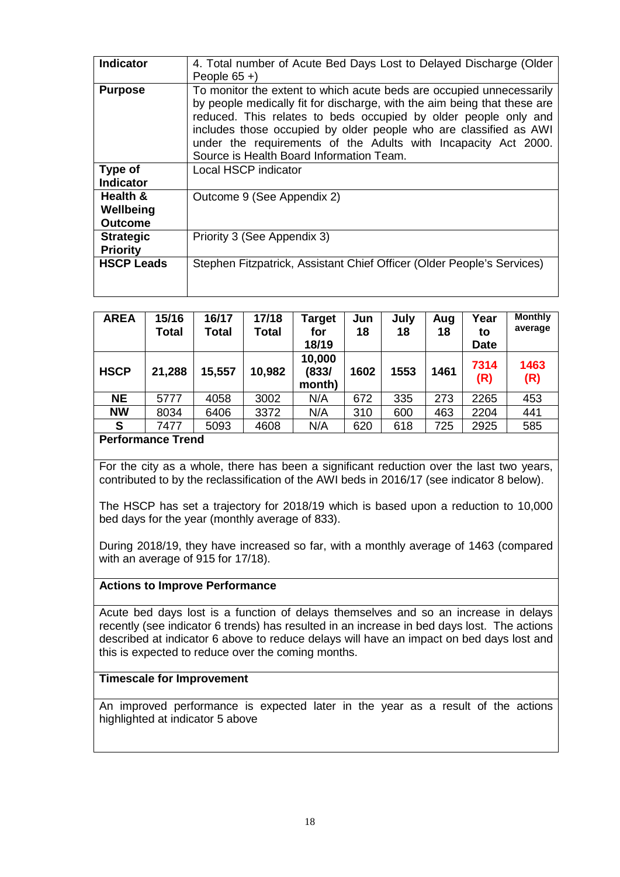| <b>Indicator</b>  | 4. Total number of Acute Bed Days Lost to Delayed Discharge (Older                                                                                                                                                                                                                                                                                                                                     |
|-------------------|--------------------------------------------------------------------------------------------------------------------------------------------------------------------------------------------------------------------------------------------------------------------------------------------------------------------------------------------------------------------------------------------------------|
|                   | People $65 +$ )                                                                                                                                                                                                                                                                                                                                                                                        |
| <b>Purpose</b>    | To monitor the extent to which acute beds are occupied unnecessarily<br>by people medically fit for discharge, with the aim being that these are<br>reduced. This relates to beds occupied by older people only and<br>includes those occupied by older people who are classified as AWI<br>under the requirements of the Adults with Incapacity Act 2000.<br>Source is Health Board Information Team. |
| Type of           | Local HSCP indicator                                                                                                                                                                                                                                                                                                                                                                                   |
| <b>Indicator</b>  |                                                                                                                                                                                                                                                                                                                                                                                                        |
| Health &          | Outcome 9 (See Appendix 2)                                                                                                                                                                                                                                                                                                                                                                             |
| Wellbeing         |                                                                                                                                                                                                                                                                                                                                                                                                        |
| <b>Outcome</b>    |                                                                                                                                                                                                                                                                                                                                                                                                        |
| <b>Strategic</b>  | Priority 3 (See Appendix 3)                                                                                                                                                                                                                                                                                                                                                                            |
| <b>Priority</b>   |                                                                                                                                                                                                                                                                                                                                                                                                        |
| <b>HSCP Leads</b> | Stephen Fitzpatrick, Assistant Chief Officer (Older People's Services)                                                                                                                                                                                                                                                                                                                                 |
|                   |                                                                                                                                                                                                                                                                                                                                                                                                        |

| <b>AREA</b> | 15/16<br><b>Total</b>    | 16/17<br><b>Total</b> | 17/18<br><b>Total</b> | <b>Target</b><br>for<br>18/19 | Jun<br>18 | July<br>18 | Aug<br>18 | Year<br>to<br><b>Date</b> | <b>Monthly</b><br>average |
|-------------|--------------------------|-----------------------|-----------------------|-------------------------------|-----------|------------|-----------|---------------------------|---------------------------|
| <b>HSCP</b> | 21,288                   | 15,557                | 10,982                | 10,000<br>(833/<br>month)     | 1602      | 1553       | 1461      | 7314<br>(R)               | 1463<br>(R)               |
| <b>NE</b>   | 5777                     | 4058                  | 3002                  | N/A                           | 672       | 335        | 273       | 2265                      | 453                       |
| <b>NW</b>   | 8034                     | 6406                  | 3372                  | N/A                           | 310       | 600        | 463       | 2204                      | 441                       |
| S           | 7477                     | 5093                  | 4608                  | N/A                           | 620       | 618        | 725       | 2925                      | 585                       |
|             | <b>Performance Trend</b> |                       |                       |                               |           |            |           |                           |                           |

For the city as a whole, there has been a significant reduction over the last two years, contributed to by the reclassification of the AWI beds in 2016/17 (see indicator 8 below).

The HSCP has set a trajectory for 2018/19 which is based upon a reduction to 10,000 bed days for the year (monthly average of 833).

During 2018/19, they have increased so far, with a monthly average of 1463 (compared with an average of 915 for 17/18).

#### **Actions to Improve Performance**

Acute bed days lost is a function of delays themselves and so an increase in delays recently (see indicator 6 trends) has resulted in an increase in bed days lost. The actions described at indicator 6 above to reduce delays will have an impact on bed days lost and this is expected to reduce over the coming months.

#### **Timescale for Improvement**

An improved performance is expected later in the year as a result of the actions highlighted at indicator 5 above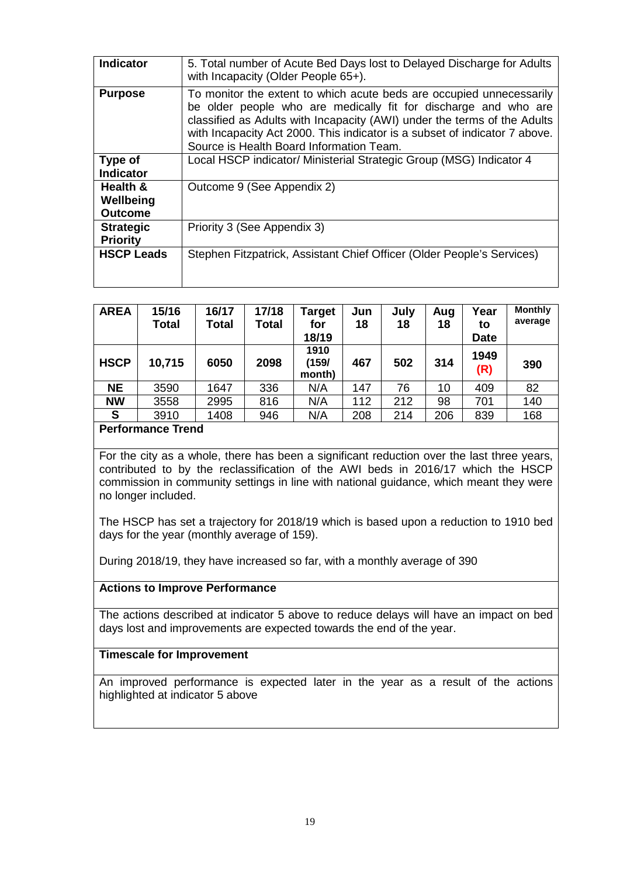| Indicator                               | 5. Total number of Acute Bed Days lost to Delayed Discharge for Adults<br>with Incapacity (Older People 65+).                                                                                                                                                                                                                                 |
|-----------------------------------------|-----------------------------------------------------------------------------------------------------------------------------------------------------------------------------------------------------------------------------------------------------------------------------------------------------------------------------------------------|
| <b>Purpose</b>                          | To monitor the extent to which acute beds are occupied unnecessarily<br>be older people who are medically fit for discharge and who are<br>classified as Adults with Incapacity (AWI) under the terms of the Adults<br>with Incapacity Act 2000. This indicator is a subset of indicator 7 above.<br>Source is Health Board Information Team. |
| Type of<br><b>Indicator</b>             | Local HSCP indicator/ Ministerial Strategic Group (MSG) Indicator 4                                                                                                                                                                                                                                                                           |
| Health &<br>Wellbeing<br><b>Outcome</b> | Outcome 9 (See Appendix 2)                                                                                                                                                                                                                                                                                                                    |
| <b>Strategic</b><br><b>Priority</b>     | Priority 3 (See Appendix 3)                                                                                                                                                                                                                                                                                                                   |
| <b>HSCP Leads</b>                       | Stephen Fitzpatrick, Assistant Chief Officer (Older People's Services)                                                                                                                                                                                                                                                                        |

| <b>AREA</b> | 15/16<br><b>Total</b> | 16/17<br>Total | 17/18<br><b>Total</b> | Target<br>for<br>18/19  | Jun<br>18 | July<br>18 | Aug<br>18 | Year<br>to<br><b>Date</b> | <b>Monthly</b><br>average |
|-------------|-----------------------|----------------|-----------------------|-------------------------|-----------|------------|-----------|---------------------------|---------------------------|
| <b>HSCP</b> | 10,715                | 6050           | 2098                  | 1910<br>(159/<br>month) | 467       | 502        | 314       | 1949<br>(R)               | 390                       |
| <b>NE</b>   | 3590                  | 1647           | 336                   | N/A                     | 147       | 76         | 10        | 409                       | 82                        |
| <b>NW</b>   | 3558                  | 2995           | 816                   | N/A                     | 112       | 212        | 98        | 701                       | 140                       |
| S           | 3910                  | 1408           | 946                   | N/A                     | 208       | 214        | 206       | 839                       | 168                       |

For the city as a whole, there has been a significant reduction over the last three years, contributed to by the reclassification of the AWI beds in 2016/17 which the HSCP commission in community settings in line with national guidance, which meant they were no longer included.

The HSCP has set a trajectory for 2018/19 which is based upon a reduction to 1910 bed days for the year (monthly average of 159).

During 2018/19, they have increased so far, with a monthly average of 390

#### **Actions to Improve Performance**

The actions described at indicator 5 above to reduce delays will have an impact on bed days lost and improvements are expected towards the end of the year.

#### **Timescale for Improvement**

An improved performance is expected later in the year as a result of the actions highlighted at indicator 5 above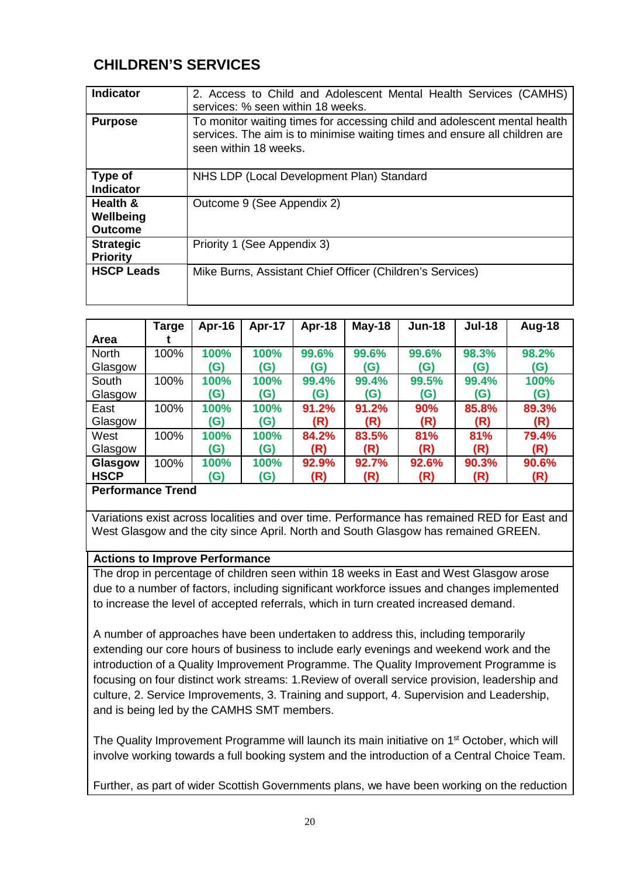## **CHILDREN'S SERVICES**

| Indicator                               | 2. Access to Child and Adolescent Mental Health Services (CAMHS)<br>services: % seen within 18 weeks.                                                                            |
|-----------------------------------------|----------------------------------------------------------------------------------------------------------------------------------------------------------------------------------|
| <b>Purpose</b>                          | To monitor waiting times for accessing child and adolescent mental health<br>services. The aim is to minimise waiting times and ensure all children are<br>seen within 18 weeks. |
| Type of<br><b>Indicator</b>             | NHS LDP (Local Development Plan) Standard                                                                                                                                        |
| Health &<br>Wellbeing<br><b>Outcome</b> | Outcome 9 (See Appendix 2)                                                                                                                                                       |
| <b>Strategic</b><br><b>Priority</b>     | Priority 1 (See Appendix 3)                                                                                                                                                      |
| <b>HSCP Leads</b>                       | Mike Burns, Assistant Chief Officer (Children's Services)                                                                                                                        |

|                   | <b>Targe</b> | Apr-16 | Apr-17 | Apr-18 | May-18 | <b>Jun-18</b> | <b>Jul-18</b> | Aug-18 |
|-------------------|--------------|--------|--------|--------|--------|---------------|---------------|--------|
| <b>Area</b>       |              |        |        |        |        |               |               |        |
| <b>North</b>      | 100%         | 100%   | 100%   | 99.6%  | 99.6%  | 99.6%         | 98.3%         | 98.2%  |
| Glasgow           |              | (G)    | (G)    | (G)    | (G)    | (G)           | (G)           | (G)    |
| South             | 100%         | 100%   | 100%   | 99.4%  | 99.4%  | 99.5%         | 99.4%         | 100%   |
| Glasgow           |              | (G)    | (G)    | (G)    | (G)    | (G)           | (G)           | (G)    |
| East              | 100%         | 100%   | 100%   | 91.2%  | 91.2%  | 90%           | 85.8%         | 89.3%  |
| Glasgow           |              | (G)    | (G)    | (R)    | (R)    | (R)           | (R)           | (R)    |
| West              | 100%         | 100%   | 100%   | 84.2%  | 83.5%  | 81%           | 81%           | 79.4%  |
| Glasgow           |              | (G)    | (G)    | (R)    | (R)    | (R)           | (R)           | (R)    |
| Glasgow           | 100%         | 100%   | 100%   | 92.9%  | 92.7%  | 92.6%         | 90.3%         | 90.6%  |
| <b>HSCP</b>       |              | (G)    | (G)    | (R)    | (R)    | (R)           | (R)           | (R)    |
| Dorformonoo Trond |              |        |        |        |        |               |               |        |

#### **Performance Trend**

Variations exist across localities and over time. Performance has remained RED for East and West Glasgow and the city since April. North and South Glasgow has remained GREEN.

#### **Actions to Improve Performance**

The drop in percentage of children seen within 18 weeks in East and West Glasgow arose due to a number of factors, including significant workforce issues and changes implemented to increase the level of accepted referrals, which in turn created increased demand.

A number of approaches have been undertaken to address this, including temporarily extending our core hours of business to include early evenings and weekend work and the introduction of a Quality Improvement Programme. The Quality Improvement Programme is focusing on four distinct work streams: 1.Review of overall service provision, leadership and culture, 2. Service Improvements, 3. Training and support, 4. Supervision and Leadership, and is being led by the CAMHS SMT members.

The Quality Improvement Programme will launch its main initiative on 1<sup>st</sup> October, which will involve working towards a full booking system and the introduction of a Central Choice Team.

Further, as part of wider Scottish Governments plans, we have been working on the reduction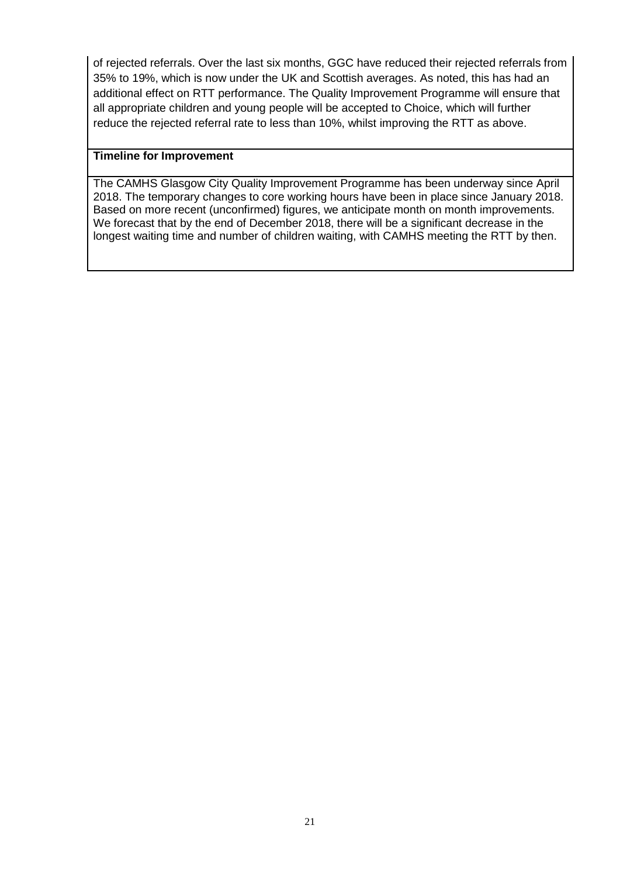of rejected referrals. Over the last six months, GGC have reduced their rejected referrals from 35% to 19%, which is now under the UK and Scottish averages. As noted, this has had an additional effect on RTT performance. The Quality Improvement Programme will ensure that all appropriate children and young people will be accepted to Choice, which will further reduce the rejected referral rate to less than 10%, whilst improving the RTT as above.

#### **Timeline for Improvement**

The CAMHS Glasgow City Quality Improvement Programme has been underway since April 2018. The temporary changes to core working hours have been in place since January 2018. Based on more recent (unconfirmed) figures, we anticipate month on month improvements. We forecast that by the end of December 2018, there will be a significant decrease in the longest waiting time and number of children waiting, with CAMHS meeting the RTT by then.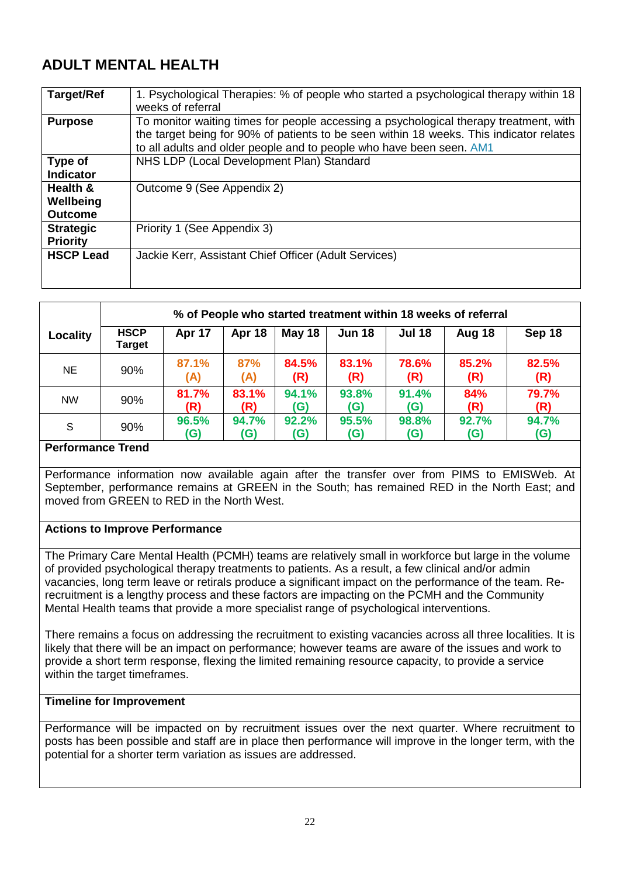## **ADULT MENTAL HEALTH**

| <b>Target/Ref</b> | 1. Psychological Therapies: % of people who started a psychological therapy within 18<br>weeks of referral                                                                                                                                               |
|-------------------|----------------------------------------------------------------------------------------------------------------------------------------------------------------------------------------------------------------------------------------------------------|
| <b>Purpose</b>    | To monitor waiting times for people accessing a psychological therapy treatment, with<br>the target being for 90% of patients to be seen within 18 weeks. This indicator relates<br>to all adults and older people and to people who have been seen. AM1 |
| Type of           | NHS LDP (Local Development Plan) Standard                                                                                                                                                                                                                |
| <b>Indicator</b>  |                                                                                                                                                                                                                                                          |
| Health &          | Outcome 9 (See Appendix 2)                                                                                                                                                                                                                               |
| Wellbeing         |                                                                                                                                                                                                                                                          |
| <b>Outcome</b>    |                                                                                                                                                                                                                                                          |
| <b>Strategic</b>  | Priority 1 (See Appendix 3)                                                                                                                                                                                                                              |
| <b>Priority</b>   |                                                                                                                                                                                                                                                          |
| <b>HSCP Lead</b>  | Jackie Kerr, Assistant Chief Officer (Adult Services)                                                                                                                                                                                                    |
|                   |                                                                                                                                                                                                                                                          |

|                   | % of People who started treatment within 18 weeks of referral |              |              |               |               |               |              |              |
|-------------------|---------------------------------------------------------------|--------------|--------------|---------------|---------------|---------------|--------------|--------------|
| Locality          | <b>HSCP</b><br>Target                                         | Apr 17       | Apr 18       | <b>May 18</b> | <b>Jun 18</b> | <b>Jul 18</b> | Aug 18       | Sep 18       |
| <b>NE</b>         | 90%                                                           | 87.1%<br>(A) | 87%<br>(A)   | 84.5%<br>(R)  | 83.1%<br>(R)  | 78.6%<br>(R)  | 85.2%<br>(R) | 82.5%<br>(R) |
| <b>NW</b>         | 90%                                                           | 81.7%<br>(R) | 83.1%<br>(R) | 94.1%<br>(G)  | 93.8%<br>(G)  | 91.4%<br>(G)  | 84%<br>(R)   | 79.7%<br>(R) |
| S                 | 90%                                                           | 96.5%<br>(G) | 94.7%<br>(G) | 92.2%<br>(G)  | 95.5%<br>(G)  | 98.8%<br>(G)  | 92.7%<br>(G) | 94.7%<br>(G) |
| Dorformonan Trand |                                                               |              |              |               |               |               |              |              |

#### **Performance Trend**

Performance information now available again after the transfer over from PIMS to EMISWeb. At September, performance remains at GREEN in the South; has remained RED in the North East; and moved from GREEN to RED in the North West.

#### **Actions to Improve Performance**

The Primary Care Mental Health (PCMH) teams are relatively small in workforce but large in the volume of provided psychological therapy treatments to patients. As a result, a few clinical and/or admin vacancies, long term leave or retirals produce a significant impact on the performance of the team. Rerecruitment is a lengthy process and these factors are impacting on the PCMH and the Community Mental Health teams that provide a more specialist range of psychological interventions.

There remains a focus on addressing the recruitment to existing vacancies across all three localities. It is likely that there will be an impact on performance; however teams are aware of the issues and work to provide a short term response, flexing the limited remaining resource capacity, to provide a service within the target timeframes.

#### **Timeline for Improvement**

Performance will be impacted on by recruitment issues over the next quarter. Where recruitment to posts has been possible and staff are in place then performance will improve in the longer term, with the potential for a shorter term variation as issues are addressed.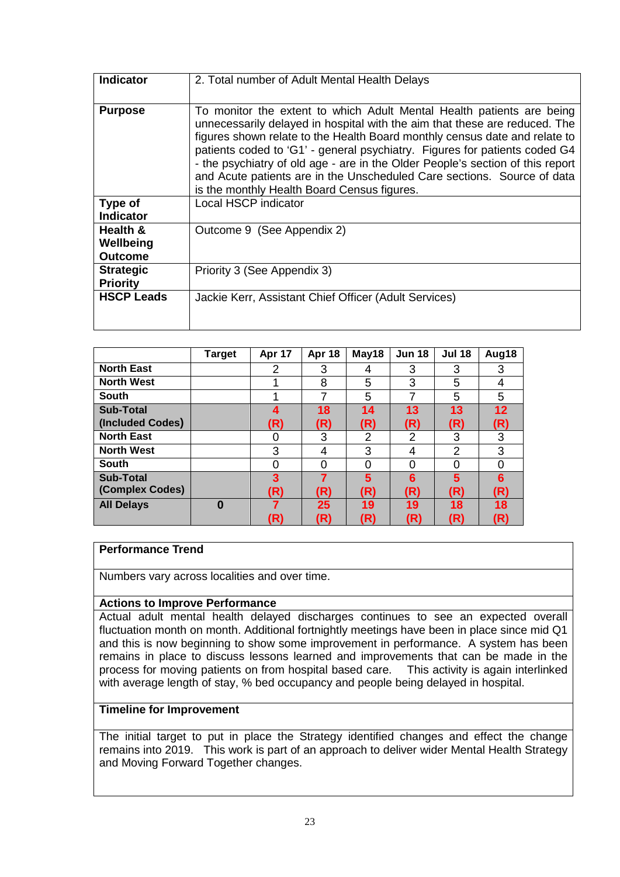| <b>Indicator</b>                        | 2. Total number of Adult Mental Health Delays                                                                                                                                                                                                                                                                                                                                                                                                                                                                               |
|-----------------------------------------|-----------------------------------------------------------------------------------------------------------------------------------------------------------------------------------------------------------------------------------------------------------------------------------------------------------------------------------------------------------------------------------------------------------------------------------------------------------------------------------------------------------------------------|
| <b>Purpose</b>                          | To monitor the extent to which Adult Mental Health patients are being<br>unnecessarily delayed in hospital with the aim that these are reduced. The<br>figures shown relate to the Health Board monthly census date and relate to<br>patients coded to 'G1' - general psychiatry. Figures for patients coded G4<br>- the psychiatry of old age - are in the Older People's section of this report<br>and Acute patients are in the Unscheduled Care sections. Source of data<br>is the monthly Health Board Census figures. |
| Type of<br><b>Indicator</b>             | Local HSCP indicator                                                                                                                                                                                                                                                                                                                                                                                                                                                                                                        |
| Health &<br>Wellbeing<br><b>Outcome</b> | Outcome 9 (See Appendix 2)                                                                                                                                                                                                                                                                                                                                                                                                                                                                                                  |
| <b>Strategic</b><br><b>Priority</b>     | Priority 3 (See Appendix 3)                                                                                                                                                                                                                                                                                                                                                                                                                                                                                                 |
| <b>HSCP Leads</b>                       | Jackie Kerr, Assistant Chief Officer (Adult Services)                                                                                                                                                                                                                                                                                                                                                                                                                                                                       |

|                   | Target   | Apr 17 | Apr 18   | May18    | <b>Jun 18</b> | <b>Jul 18</b>  | Aug18    |
|-------------------|----------|--------|----------|----------|---------------|----------------|----------|
| <b>North East</b> |          | 2      | 3        | 4        | 3             | 3              | 3        |
| <b>North West</b> |          |        | 8        | 5        | 3             | 5              | 4        |
| South             |          |        | 7        | 5        |               | 5              | 5        |
| <b>Sub-Total</b>  |          | Δ      | 18       | 14       | 13            | 13             | 12       |
| (Included Codes)  |          | (R)    | (R)      | (R)      | (R)           | (R)            | (R)      |
| <b>North East</b> |          |        | 3        | 2        | 2             | 3              | 3        |
| <b>North West</b> |          | 3      | 4        | 3        | 4             | $\overline{2}$ | 3        |
| South             |          | ∩      | $\Omega$ | $\Omega$ | 0             | 0              | $\Omega$ |
| <b>Sub-Total</b>  |          | 3      | 7        | 5        | 6             | 5              | 6        |
| (Complex Codes)   |          | (R)    | (R)      | (R)      | (R)           | (R)            | (R)      |
| <b>All Delays</b> | $\Omega$ |        | 25       | 19       | 19            | 18             | 18       |
|                   |          | (R)    | (R)      | (R)      | (R)           | (R)            | (R)      |

Numbers vary across localities and over time.

#### **Actions to Improve Performance**

Actual adult mental health delayed discharges continues to see an expected overall fluctuation month on month. Additional fortnightly meetings have been in place since mid Q1 and this is now beginning to show some improvement in performance. A system has been remains in place to discuss lessons learned and improvements that can be made in the process for moving patients on from hospital based care. This activity is again interlinked process for moving patients on from hospital based care. with average length of stay, % bed occupancy and people being delayed in hospital.

#### **Timeline for Improvement**

The initial target to put in place the Strategy identified changes and effect the change remains into 2019. This work is part of an approach to deliver wider Mental Health Strategy and Moving Forward Together changes.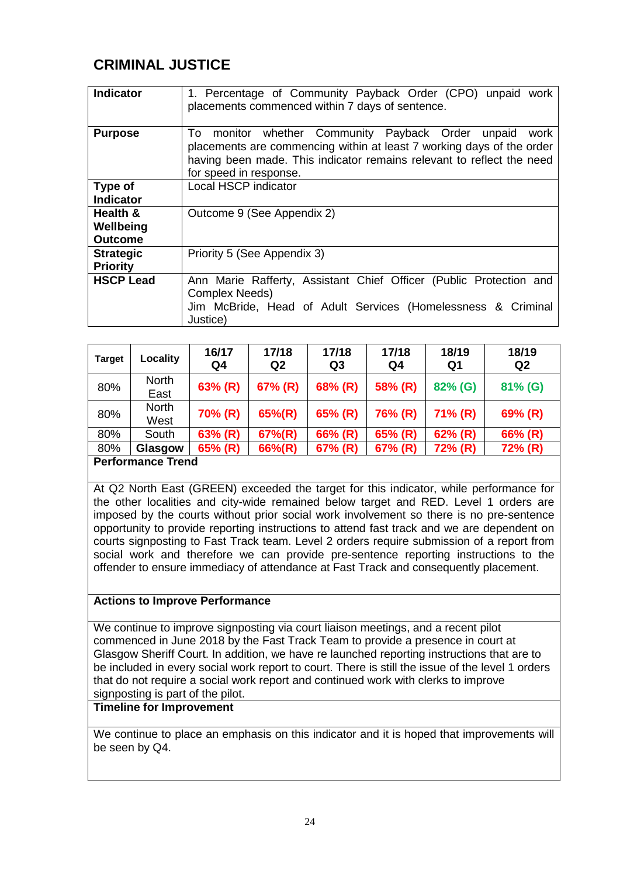## **CRIMINAL JUSTICE**

| <b>Indicator</b>                        | 1. Percentage of Community Payback Order (CPO) unpaid work<br>placements commenced within 7 days of sentence.                                                                                                                            |
|-----------------------------------------|------------------------------------------------------------------------------------------------------------------------------------------------------------------------------------------------------------------------------------------|
| <b>Purpose</b>                          | monitor whether Community Payback Order unpaid<br>To<br>work<br>placements are commencing within at least 7 working days of the order<br>having been made. This indicator remains relevant to reflect the need<br>for speed in response. |
| Type of<br><b>Indicator</b>             | Local HSCP indicator                                                                                                                                                                                                                     |
| Health &<br>Wellbeing<br><b>Outcome</b> | Outcome 9 (See Appendix 2)                                                                                                                                                                                                               |
| <b>Strategic</b><br><b>Priority</b>     | Priority 5 (See Appendix 3)                                                                                                                                                                                                              |
| <b>HSCP Lead</b>                        | Ann Marie Rafferty, Assistant Chief Officer (Public Protection and<br><b>Complex Needs)</b><br>Jim McBride, Head of Adult Services (Homelessness & Criminal<br>Justice)                                                                  |

| <b>Target</b> | Locality             | 16/17<br>Q4 | 17/18<br>Q <sub>2</sub> | 17/18<br>Q <sub>3</sub> | 17/18<br>Q4              | 18/19<br>Q1 | 18/19<br>Q <sub>2</sub> |  |  |  |  |  |  |  |
|---------------|----------------------|-------------|-------------------------|-------------------------|--------------------------|-------------|-------------------------|--|--|--|--|--|--|--|
| 80%           | <b>North</b><br>East | 63% (R)     | 67% (R)                 | 68% (R)                 | 58% (R)                  | 82% (G)     | 81% (G)                 |  |  |  |  |  |  |  |
| 80%           | <b>North</b><br>West | 70% (R)     | $65\%$ (R)              | 65% (R)                 | 76% (R)                  | $71\%$ (R)  | 69% (R)                 |  |  |  |  |  |  |  |
| 80%           | South                | 63% (R)     | $67\%$ (R)              | 66% (R)                 | 65% (R)                  | $62\%$ (R)  | 66% (R)                 |  |  |  |  |  |  |  |
| 80%           | Glasgow              | 65% (R)     | 66%(R)                  | 67% (R)                 | 67% (R)                  | 72% (R)     | 72% (R)                 |  |  |  |  |  |  |  |
|               |                      |             |                         |                         | <b>Performance Trend</b> |             |                         |  |  |  |  |  |  |  |

At Q2 North East (GREEN) exceeded the target for this indicator, while performance for the other localities and city-wide remained below target and RED. Level 1 orders are imposed by the courts without prior social work involvement so there is no pre-sentence opportunity to provide reporting instructions to attend fast track and we are dependent on courts signposting to Fast Track team. Level 2 orders require submission of a report from social work and therefore we can provide pre-sentence reporting instructions to the offender to ensure immediacy of attendance at Fast Track and consequently placement.

#### **Actions to Improve Performance**

We continue to improve signposting via court liaison meetings, and a recent pilot commenced in June 2018 by the Fast Track Team to provide a presence in court at Glasgow Sheriff Court. In addition, we have re launched reporting instructions that are to be included in every social work report to court. There is still the issue of the level 1 orders that do not require a social work report and continued work with clerks to improve signposting is part of the pilot.

#### **Timeline for Improvement**

We continue to place an emphasis on this indicator and it is hoped that improvements will be seen by Q4.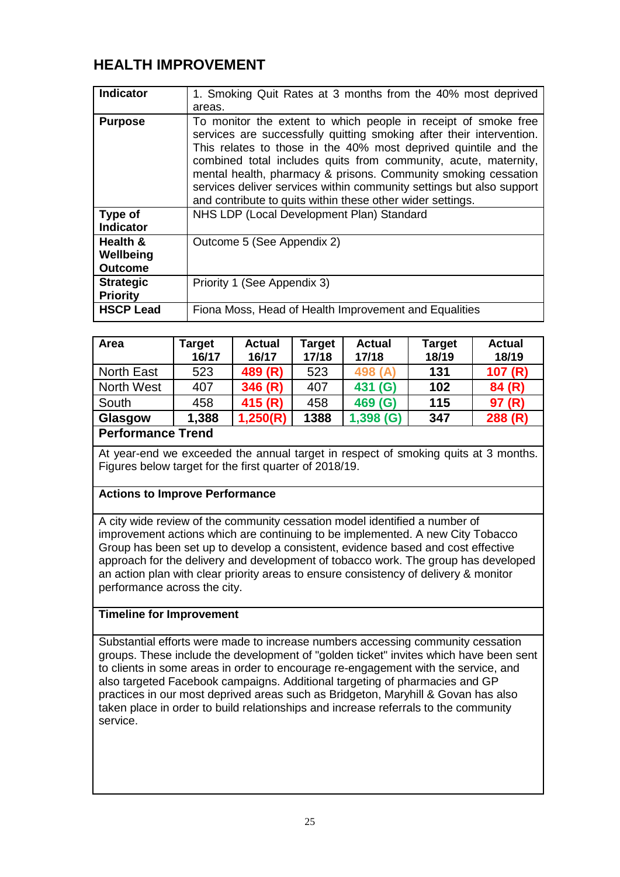## **HEALTH IMPROVEMENT**

| <b>Indicator</b>                        | 1. Smoking Quit Rates at 3 months from the 40% most deprived<br>areas.                                                                                                                                                                                                                                                                                                                                                                                                               |
|-----------------------------------------|--------------------------------------------------------------------------------------------------------------------------------------------------------------------------------------------------------------------------------------------------------------------------------------------------------------------------------------------------------------------------------------------------------------------------------------------------------------------------------------|
| <b>Purpose</b>                          | To monitor the extent to which people in receipt of smoke free<br>services are successfully quitting smoking after their intervention.<br>This relates to those in the 40% most deprived quintile and the<br>combined total includes quits from community, acute, maternity,<br>mental health, pharmacy & prisons. Community smoking cessation<br>services deliver services within community settings but also support<br>and contribute to quits within these other wider settings. |
| Type of<br><b>Indicator</b>             | NHS LDP (Local Development Plan) Standard                                                                                                                                                                                                                                                                                                                                                                                                                                            |
| Health &<br>Wellbeing<br><b>Outcome</b> | Outcome 5 (See Appendix 2)                                                                                                                                                                                                                                                                                                                                                                                                                                                           |
| <b>Strategic</b><br><b>Priority</b>     | Priority 1 (See Appendix 3)                                                                                                                                                                                                                                                                                                                                                                                                                                                          |
| <b>HSCP Lead</b>                        | Fiona Moss, Head of Health Improvement and Equalities                                                                                                                                                                                                                                                                                                                                                                                                                                |

| Area                                                              | <b>Target</b><br>16/17 | <b>Actual</b><br>16/17 | Target<br>17/18 | <b>Actual</b><br>17/18 | <b>Target</b><br>18/19 | <b>Actual</b><br>18/19 |  |  |  |
|-------------------------------------------------------------------|------------------------|------------------------|-----------------|------------------------|------------------------|------------------------|--|--|--|
| North East                                                        | 523                    | 489 (R)                | 523             | 498 (A)                | 131                    | 107(R)                 |  |  |  |
| North West                                                        | 407                    | 346(R)                 | 407             | 431 (G)                | 102                    | 84 (R)                 |  |  |  |
| South                                                             | 458                    | 415 (R)                | 458             | 469 (G)                | 115                    | 97 (R)                 |  |  |  |
| 1,250(R)<br>288(R)<br>1388<br>1,398(G)<br>1,388<br>347<br>Glasgow |                        |                        |                 |                        |                        |                        |  |  |  |
| <b>Performance Trend</b>                                          |                        |                        |                 |                        |                        |                        |  |  |  |

At year-end we exceeded the annual target in respect of smoking quits at 3 months. Figures below target for the first quarter of 2018/19.

#### **Actions to Improve Performance**

A city wide review of the community cessation model identified a number of improvement actions which are continuing to be implemented. A new City Tobacco Group has been set up to develop a consistent, evidence based and cost effective approach for the delivery and development of tobacco work. The group has developed an action plan with clear priority areas to ensure consistency of delivery & monitor performance across the city.

#### **Timeline for Improvement**

Substantial efforts were made to increase numbers accessing community cessation groups. These include the development of "golden ticket" invites which have been sent to clients in some areas in order to encourage re-engagement with the service, and also targeted Facebook campaigns. Additional targeting of pharmacies and GP practices in our most deprived areas such as Bridgeton, Maryhill & Govan has also taken place in order to build relationships and increase referrals to the community service.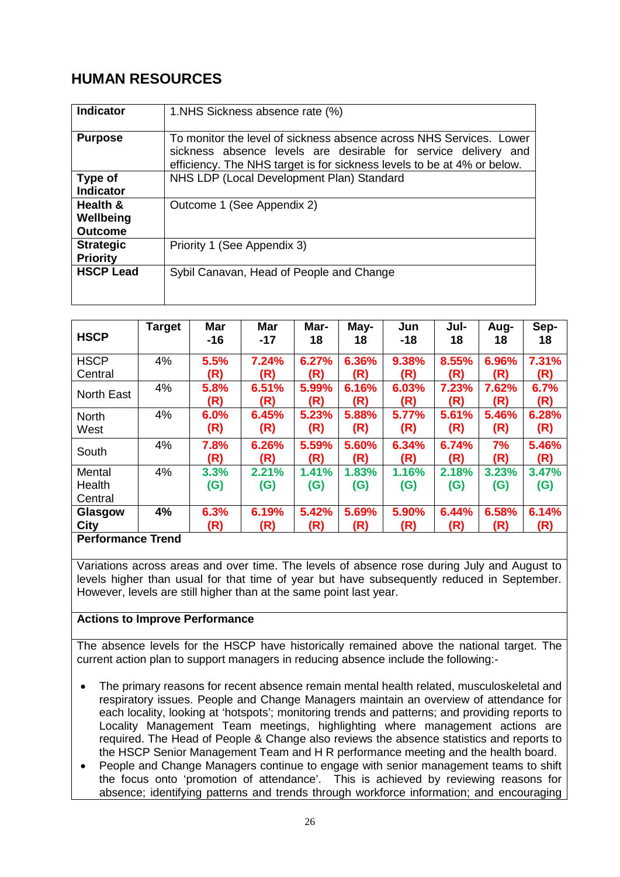## **HUMAN RESOURCES**

| <b>Indicator</b>                        | 1. NHS Sickness absence rate (%)                                                                                                                                                                                 |
|-----------------------------------------|------------------------------------------------------------------------------------------------------------------------------------------------------------------------------------------------------------------|
| <b>Purpose</b>                          | To monitor the level of sickness absence across NHS Services. Lower<br>sickness absence levels are desirable for service delivery and<br>efficiency. The NHS target is for sickness levels to be at 4% or below. |
| Type of<br><b>Indicator</b>             | NHS LDP (Local Development Plan) Standard                                                                                                                                                                        |
| Health &<br>Wellbeing<br><b>Outcome</b> | Outcome 1 (See Appendix 2)                                                                                                                                                                                       |
| <b>Strategic</b><br><b>Priority</b>     | Priority 1 (See Appendix 3)                                                                                                                                                                                      |
| <b>HSCP Lead</b>                        | Sybil Canavan, Head of People and Change                                                                                                                                                                         |

| <b>HSCP</b>              | <b>Target</b> | <b>Mar</b><br>$-16$ | <b>Mar</b><br>$-17$ | Mar-<br>18 | May-<br>18 | Jun<br>$-18$ | Jul-<br>18 | Aug-<br>18 | Sep-<br>18 |
|--------------------------|---------------|---------------------|---------------------|------------|------------|--------------|------------|------------|------------|
| <b>HSCP</b>              | 4%            | 5.5%                | 7.24%               | 6.27%      | 6.36%      | 9.38%        | 8.55%      | 6.96%      | 7.31%      |
| Central                  |               | (R)                 | (R)                 | (R)        | (R)        | (R)          | (R)        | (R)        | (R)        |
| <b>North East</b>        | 4%            | 5.8%                | 6.51%               | 5.99%      | 6.16%      | 6.03%        | 7.23%      | 7.62%      | 6.7%       |
|                          |               | (R)                 | (R)                 | (R)        | (R)        | (R)          | (R)        | (R)        | (R)        |
| <b>North</b>             | 4%            | 6.0%                | 6.45%               | 5.23%      | 5.88%      | 5.77%        | 5.61%      | 5.46%      | 6.28%      |
| West                     |               | (R)                 | (R)                 | (R)        | (R)        | (R)          | (R)        | (R)        | (R)        |
| South                    | 4%            | 7.8%                | 6.26%               | 5.59%      | 5.60%      | 6.34%        | 6.74%      | 7%         | 5.46%      |
|                          |               | (R)                 | (R)                 | (R)        | (R)        | (R)          | (R)        | (R)        | (R)        |
| Mental                   | 4%            | 3.3%                | 2.21%               | 1.41%      | 1.83%      | 1.16%        | 2.18%      | 3.23%      | 3.47%      |
| Health                   |               | (G)                 | (G)                 | (G)        | (G)        | (G)          | (G)        | (G)        | (G)        |
| Central                  |               |                     |                     |            |            |              |            |            |            |
| Glasgow                  | 4%            | 6.3%                | 6.19%               | 5.42%      | 5.69%      | 5.90%        | 6.44%      | 6.58%      | 6.14%      |
| City                     |               | (R)                 | (R)                 | (R)        | (R)        | (R)          | (R)        | (R)        | (R)        |
| <b>Performance Trend</b> |               |                     |                     |            |            |              |            |            |            |

Variations across areas and over time. The levels of absence rose during July and August to levels higher than usual for that time of year but have subsequently reduced in September. However, levels are still higher than at the same point last year.

#### **Actions to Improve Performance**

The absence levels for the HSCP have historically remained above the national target. The current action plan to support managers in reducing absence include the following:-

- The primary reasons for recent absence remain mental health related, musculoskeletal and respiratory issues. People and Change Managers maintain an overview of attendance for each locality, looking at 'hotspots'; monitoring trends and patterns; and providing reports to Locality Management Team meetings, highlighting where management actions are required. The Head of People & Change also reviews the absence statistics and reports to the HSCP Senior Management Team and H R performance meeting and the health board.
- People and Change Managers continue to engage with senior management teams to shift the focus onto 'promotion of attendance'. This is achieved by reviewing reasons for absence; identifying patterns and trends through workforce information; and encouraging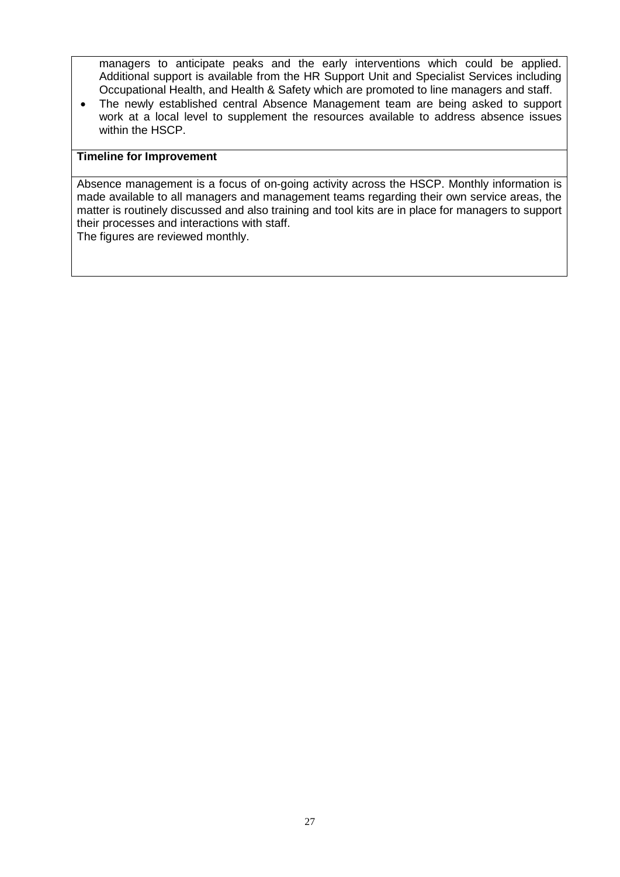managers to anticipate peaks and the early interventions which could be applied. Additional support is available from the HR Support Unit and Specialist Services including Occupational Health, and Health & Safety which are promoted to line managers and staff.

• The newly established central Absence Management team are being asked to support work at a local level to supplement the resources available to address absence issues within the HSCP.

#### **Timeline for Improvement**

Absence management is a focus of on-going activity across the HSCP. Monthly information is made available to all managers and management teams regarding their own service areas, the matter is routinely discussed and also training and tool kits are in place for managers to support their processes and interactions with staff.

The figures are reviewed monthly.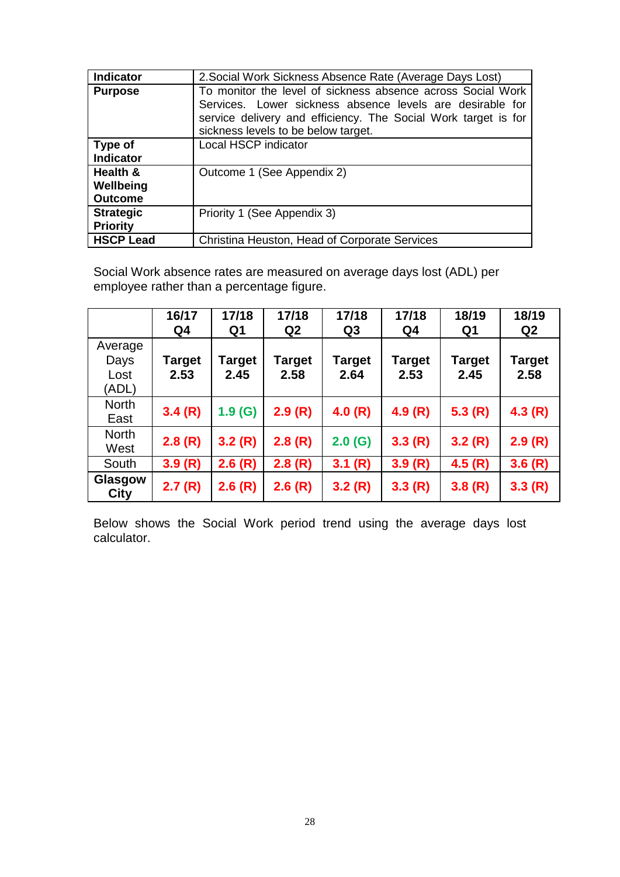| <b>Indicator</b>                        | 2. Social Work Sickness Absence Rate (Average Days Lost)                                                                                                                                                                          |
|-----------------------------------------|-----------------------------------------------------------------------------------------------------------------------------------------------------------------------------------------------------------------------------------|
| <b>Purpose</b>                          | To monitor the level of sickness absence across Social Work<br>Services. Lower sickness absence levels are desirable for<br>service delivery and efficiency. The Social Work target is for<br>sickness levels to be below target. |
| Type of<br><b>Indicator</b>             | Local HSCP indicator                                                                                                                                                                                                              |
| Health &<br>Wellbeing<br><b>Outcome</b> | Outcome 1 (See Appendix 2)                                                                                                                                                                                                        |
| <b>Strategic</b><br><b>Priority</b>     | Priority 1 (See Appendix 3)                                                                                                                                                                                                       |
| <b>HSCP Lead</b>                        | Christina Heuston, Head of Corporate Services                                                                                                                                                                                     |

Social Work absence rates are measured on average days lost (ADL) per employee rather than a percentage figure.

|                                  | 16/17<br>Q4    | 17/18<br>Q1    | 17/18<br>Q2    | 17/18<br>Q <sub>3</sub> | 17/18<br>Q4           | 18/19<br>Q1           | 18/19<br>Q2           |
|----------------------------------|----------------|----------------|----------------|-------------------------|-----------------------|-----------------------|-----------------------|
| Average<br>Days<br>Lost<br>(ADL) | Target<br>2.53 | Target<br>2.45 | Target<br>2.58 | Target<br>2.64          | <b>Target</b><br>2.53 | <b>Target</b><br>2.45 | <b>Target</b><br>2.58 |
| <b>North</b><br>East             | 3.4(R)         | 1.9(G)         | 2.9(R)         | 4.0(R)                  | 4.9(R)                | 5.3(R)                | 4.3(R)                |
| <b>North</b><br>West             | 2.8(R)         | 3.2(R)         | 2.8(R)         | 2.0(G)                  | 3.3(R)                | 3.2(R)                | 2.9(R)                |
| South                            | 3.9(R)         | 2.6(R)         | 2.8(R)         | 3.1(R)                  | 3.9(R)                | 4.5(R)                | 3.6(R)                |
| Glasgow<br><b>City</b>           | 2.7(R)         | 2.6(R)         | 2.6(R)         | 3.2(R)                  | 3.3(R)                | 3.8(R)                | 3.3(R)                |

Below shows the Social Work period trend using the average days lost calculator.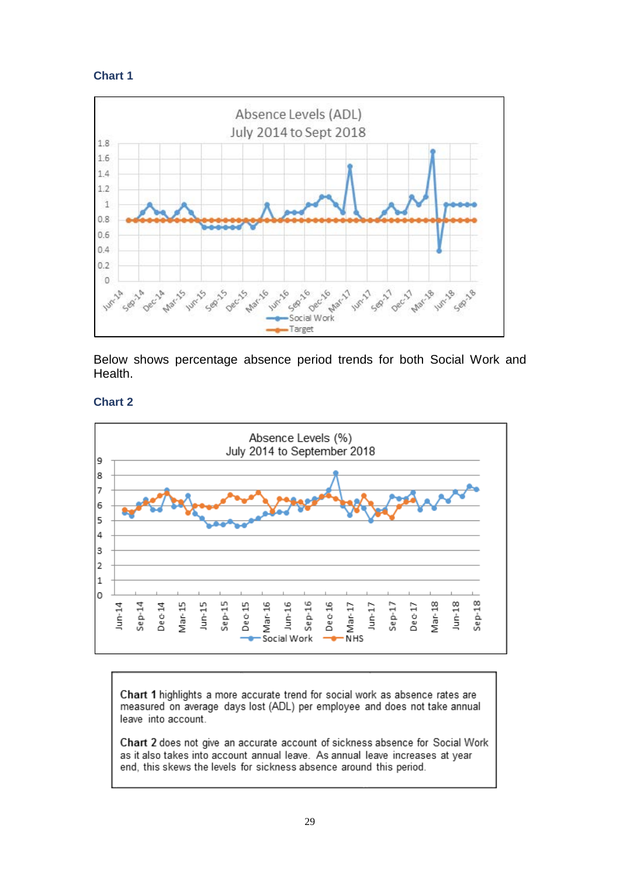



Below shows percentage absence period trends for both Social Work and Health.

#### **Chart 2**



Chart 1 highlights a more accurate trend for social work as absence rates are measured on average days lost (ADL) per employee and does not take annual leave into account.

Chart 2 does not give an accurate account of sickness absence for Social Work as it also takes into account annual leave. As annual leave increases at year end, this skews the levels for sickness absence around this period.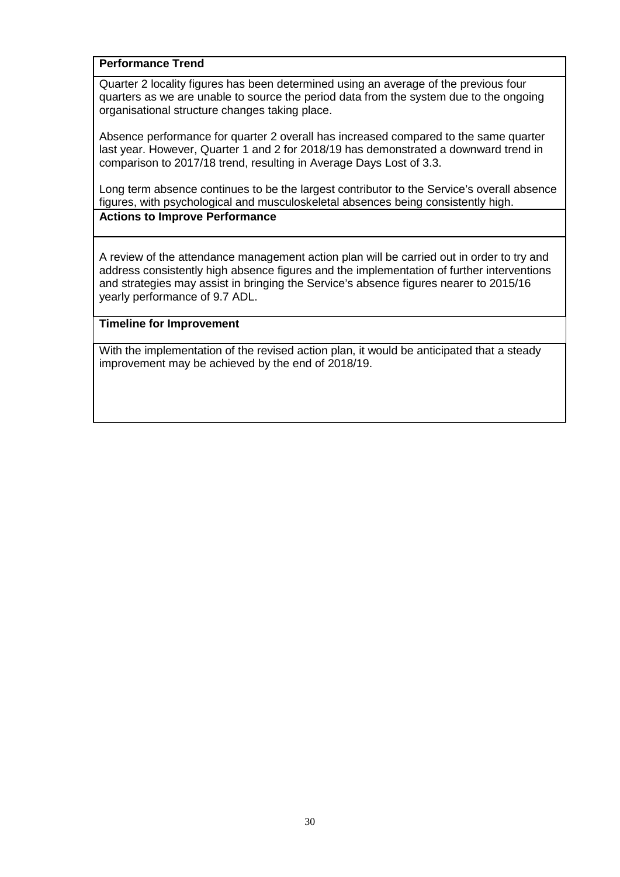Quarter 2 locality figures has been determined using an average of the previous four quarters as we are unable to source the period data from the system due to the ongoing organisational structure changes taking place.

Absence performance for quarter 2 overall has increased compared to the same quarter last year. However, Quarter 1 and 2 for 2018/19 has demonstrated a downward trend in comparison to 2017/18 trend, resulting in Average Days Lost of 3.3.

Long term absence continues to be the largest contributor to the Service's overall absence figures, with psychological and musculoskeletal absences being consistently high. **Actions to Improve Performance**

A review of the attendance management action plan will be carried out in order to try and address consistently high absence figures and the implementation of further interventions and strategies may assist in bringing the Service's absence figures nearer to 2015/16 yearly performance of 9.7 ADL.

#### **Timeline for Improvement**

With the implementation of the revised action plan, it would be anticipated that a steady improvement may be achieved by the end of 2018/19.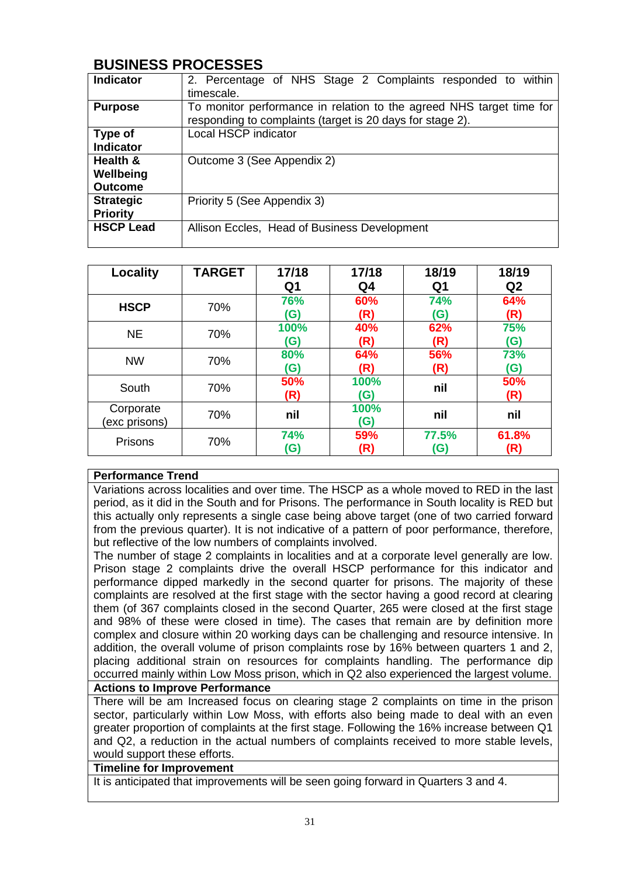## **BUSINESS PROCESSES**

| <b>Indicator</b>                        | 2. Percentage of NHS Stage 2 Complaints responded to within<br>timescale.                                                         |  |  |  |  |  |  |  |  |
|-----------------------------------------|-----------------------------------------------------------------------------------------------------------------------------------|--|--|--|--|--|--|--|--|
| <b>Purpose</b>                          | To monitor performance in relation to the agreed NHS target time for<br>responding to complaints (target is 20 days for stage 2). |  |  |  |  |  |  |  |  |
| Type of<br><b>Indicator</b>             | <b>Local HSCP indicator</b>                                                                                                       |  |  |  |  |  |  |  |  |
| Health &<br>Wellbeing<br><b>Outcome</b> | Outcome 3 (See Appendix 2)                                                                                                        |  |  |  |  |  |  |  |  |
| <b>Strategic</b><br><b>Priority</b>     | Priority 5 (See Appendix 3)                                                                                                       |  |  |  |  |  |  |  |  |
| <b>HSCP Lead</b>                        | Allison Eccles, Head of Business Development                                                                                      |  |  |  |  |  |  |  |  |

| Locality                   | <b>TARGET</b> | 17/18             | 17/18          | 18/19                    | 18/19             |
|----------------------------|---------------|-------------------|----------------|--------------------------|-------------------|
|                            |               | Q <sub>1</sub>    | Q <sub>4</sub> | Q1                       | Q <sub>2</sub>    |
| <b>HSCP</b>                | 70%           | 76%<br>(G)        | 60%<br>(R)     | <b>74%</b><br><b>(G)</b> | 64%<br>(R)        |
| <b>NE</b>                  | 70%           | 100%<br>(G)       | 40%<br>(R)     | 62%<br>(R)               | 75%<br><b>(G)</b> |
| <b>NW</b>                  | 70%           | 80%<br>(G)        | 64%<br>(R)     | 56%<br>(R)               | 73%<br>(G)        |
| South                      | 70%           | 50%<br>(R)        | 100%<br>(G)    | nil                      | 50%<br>(R)        |
| Corporate<br>(exc prisons) | 70%           | nil               | 100%<br>(G)    | nil                      | nil               |
| Prisons                    | 70%           | <b>74%</b><br>(G) | 59%<br>(R)     | 77.5%<br>(G)             | 61.8%<br>(R)      |

#### **Performance Trend**

Variations across localities and over time. The HSCP as a whole moved to RED in the last period, as it did in the South and for Prisons. The performance in South locality is RED but this actually only represents a single case being above target (one of two carried forward from the previous quarter). It is not indicative of a pattern of poor performance, therefore, but reflective of the low numbers of complaints involved.

The number of stage 2 complaints in localities and at a corporate level generally are low. Prison stage 2 complaints drive the overall HSCP performance for this indicator and performance dipped markedly in the second quarter for prisons. The majority of these complaints are resolved at the first stage with the sector having a good record at clearing them (of 367 complaints closed in the second Quarter, 265 were closed at the first stage and 98% of these were closed in time). The cases that remain are by definition more complex and closure within 20 working days can be challenging and resource intensive. In addition, the overall volume of prison complaints rose by 16% between quarters 1 and 2, placing additional strain on resources for complaints handling. The performance dip occurred mainly within Low Moss prison, which in Q2 also experienced the largest volume.

#### **Actions to Improve Performance**

There will be am Increased focus on clearing stage 2 complaints on time in the prison sector, particularly within Low Moss, with efforts also being made to deal with an even greater proportion of complaints at the first stage. Following the 16% increase between Q1 and Q2, a reduction in the actual numbers of complaints received to more stable levels, would support these efforts.

#### **Timeline for Improvement**

It is anticipated that improvements will be seen going forward in Quarters 3 and 4.